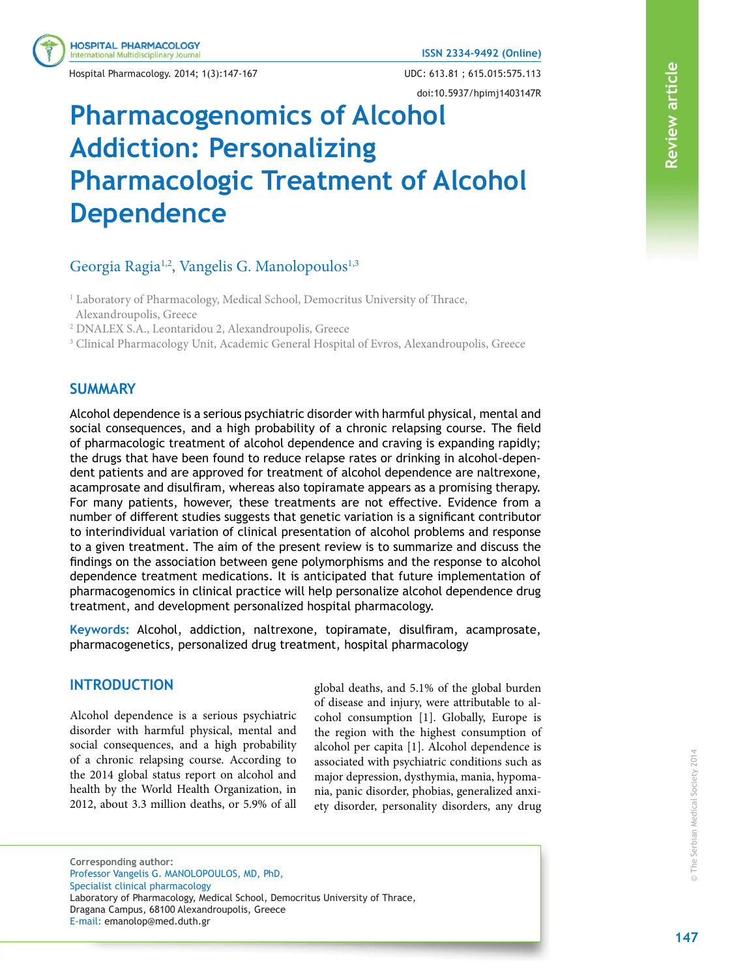Hospital Pharmacology. 2014; 1(3):147-167 UDC: 613.81 ; 615.015:575.113

**HOSPITAL PHARMACOLOGY** ternational Multidisciplinary Journal

doi:10.5937/hpimj1403147R

# **Pharmacogenomics of Alcohol Addiction: Personalizing Pharmacologic Treatment of Alcohol Dependence**

# Georgia Ragia<sup>1,2</sup>, Vangelis G. Manolopoulos<sup>1,3</sup>

<sup>1</sup> Laboratory of Pharmacology, Medical School, Democritus University of Thrace, Alexandroupolis, Greece

2 DNALEX S.A., Leontaridou 2, Alexandroupolis, Greece

3 Clinical Pharmacology Unit, Academic General Hospital of Evros, Alexandroupolis, Greece

## **SUMMARY**

Alcohol dependence is a serious psychiatric disorder with harmful physical, mental and social consequences, and a high probability of a chronic relapsing course. The field of pharmacologic treatment of alcohol dependence and craving is expanding rapidly; the drugs that have been found to reduce relapse rates or drinking in alcohol-dependent patients and are approved for treatment of alcohol dependence are naltrexone, acamprosate and disulfiram, whereas also topiramate appears as a promising therapy. For many patients, however, these treatments are not effective. Evidence from a number of different studies suggests that genetic variation is a significant contributor to interindividual variation of clinical presentation of alcohol problems and response to a given treatment. The aim of the present review is to summarize and discuss the findings on the association between gene polymorphisms and the response to alcohol dependence treatment medications. It is anticipated that future implementation of pharmacogenomics in clinical practice will help personalize alcohol dependence drug treatment, and development personalized hospital pharmacology.

Keywords: Alcohol, addiction, naltrexone, topiramate, disulfiram, acamprosate, pharmacogenetics, personalized drug treatment, hospital pharmacology

## **INTRODUCTION**

Alcohol dependence is a serious psychiatric disorder with harmful physical, mental and social consequences, and a high probability of a chronic relapsing course. According to the 2014 global status report on alcohol and health by the World Health Organization, in 2012, about 3.3 million deaths, or 5.9% of all global deaths, and 5.1% of the global burden of disease and injury, were attributable to alcohol consumption [1]. Globally, Europe is the region with the highest consumption of alcohol per capita [1]. Alcohol dependence is associated with psychiatric conditions such as major depression, dysthymia, mania, hypomania, panic disorder, phobias, generalized anxiety disorder, personality disorders, any drug

**Corresponding author:** Professor Vangelis G. MANOLOPOULOS, MD, PhD, Specialist clinical pharmacology Laboratory of Pharmacology, Medical School, Democritus University of Thrace, Dragana Campus, 68100 Alexandroupolis, Greece E-mail: emanolop@med.duth.gr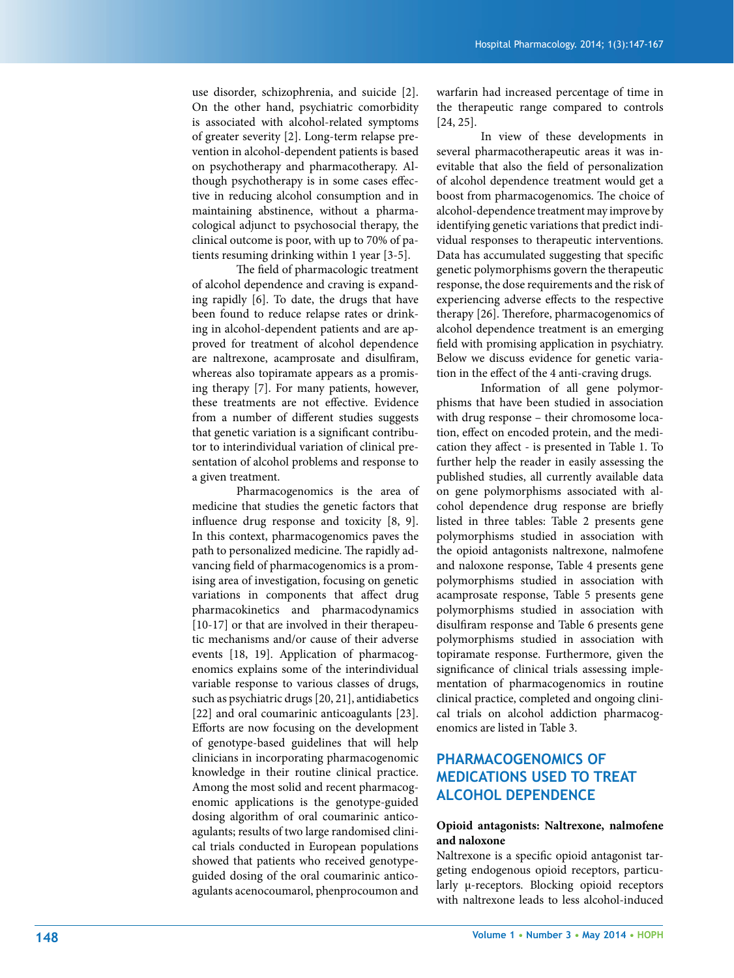use disorder, schizophrenia, and suicide [2]. On the other hand, psychiatric comorbidity is associated with alcohol-related symptoms of greater severity [2]. Long-term relapse prevention in alcohol-dependent patients is based on psychotherapy and pharmacotherapy. Although psychotherapy is in some cases effective in reducing alcohol consumption and in maintaining abstinence, without a pharmacological adjunct to psychosocial therapy, the clinical outcome is poor, with up to 70% of patients resuming drinking within 1 year [3-5].

The field of pharmacologic treatment of alcohol dependence and craving is expanding rapidly [6]. To date, the drugs that have been found to reduce relapse rates or drinking in alcohol-dependent patients and are approved for treatment of alcohol dependence are naltrexone, acamprosate and disulfiram, whereas also topiramate appears as a promising therapy [7]. For many patients, however, these treatments are not effective. Evidence from a number of different studies suggests that genetic variation is a significant contributor to interindividual variation of clinical presentation of alcohol problems and response to a given treatment.

 Pharmacogenomics is the area of medicine that studies the genetic factors that influence drug response and toxicity  $[8, 9]$ . In this context, pharmacogenomics paves the path to personalized medicine. The rapidly advancing field of pharmacogenomics is a promising area of investigation, focusing on genetic variations in components that affect drug pharmacokinetics and pharmacodynamics [10-17] or that are involved in their therapeutic mechanisms and/or cause of their adverse events [18, 19]. Application of pharmacogenomics explains some of the interindividual variable response to various classes of drugs, such as psychiatric drugs [20, 21], antidiabetics [22] and oral coumarinic anticoagulants [23]. Efforts are now focusing on the development of genotype-based guidelines that will help clinicians in incorporating pharmacogenomic knowledge in their routine clinical practice. Among the most solid and recent pharmacogenomic applications is the genotype-guided dosing algorithm of oral coumarinic anticoagulants; results of two large randomised clinical trials conducted in European populations showed that patients who received genotypeguided dosing of the oral coumarinic anticoagulants acenocoumarol, phenprocoumon and warfarin had increased percentage of time in the therapeutic range compared to controls [24, 25].

 In view of these developments in several pharmacotherapeutic areas it was inevitable that also the field of personalization of alcohol dependence treatment would get a boost from pharmacogenomics. The choice of alcohol-dependence treatment may improve by identifying genetic variations that predict individual responses to therapeutic interventions. Data has accumulated suggesting that specific genetic polymorphisms govern the therapeutic response, the dose requirements and the risk of experiencing adverse effects to the respective therapy [26]. Therefore, pharmacogenomics of alcohol dependence treatment is an emerging field with promising application in psychiatry. Below we discuss evidence for genetic variation in the effect of the 4 anti-craving drugs.

 Information of all gene polymorphisms that have been studied in association with drug response – their chromosome location, effect on encoded protein, and the medication they affect - is presented in Table 1. To further help the reader in easily assessing the published studies, all currently available data on gene polymorphisms associated with alcohol dependence drug response are briefly listed in three tables: Table 2 presents gene polymorphisms studied in association with the opioid antagonists naltrexone, nalmofene and naloxone response, Table 4 presents gene polymorphisms studied in association with acamprosate response, Table 5 presents gene polymorphisms studied in association with disulfiram response and Table 6 presents gene polymorphisms studied in association with topiramate response. Furthermore, given the significance of clinical trials assessing implementation of pharmacogenomics in routine clinical practice, completed and ongoing clinical trials on alcohol addiction pharmacogenomics are listed in Table 3.

# **PHARMACOGENOMICS OF MEDICATIONS USED TO TREAT ALCOHOL DEPENDENCE**

#### **Opioid antagonists: Naltrexone, nalmofene and naloxone**

Naltrexone is a specific opioid antagonist targeting endogenous opioid receptors, particularly μ-receptors. Blocking opioid receptors with naltrexone leads to less alcohol-induced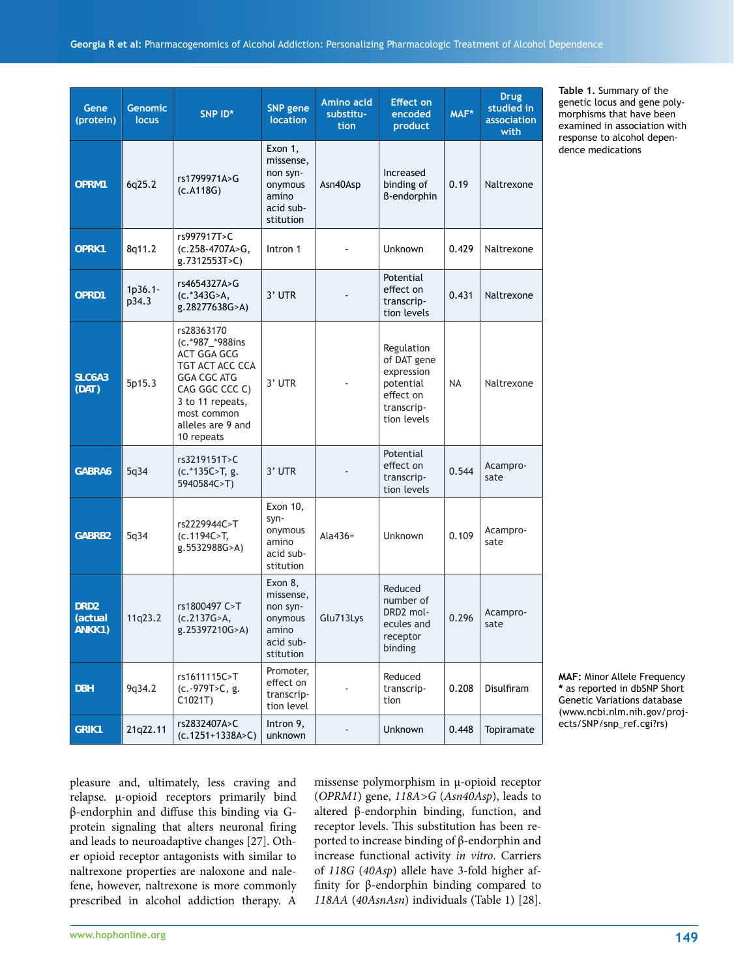| er opioid receptor antagonists with similar to |
|------------------------------------------------|
| naltrexone properties are naloxone and nale-   |
| fene, however, naltrexone is more commonly     |
| prescribed in alcohol addiction therapy. A     |
|                                                |
| والمتحدث والمتركز المرامر مارسا مراجع والروادي |

pleasure and, ultimately, less craving and relapse. μ-opioid receptors primarily bind β-endorphin and diffuse this binding via Gprotein signaling that alters neuronal firing and leads to neuroadaptive changes [27]. Oth-

missense polymorphism in μ-opioid receptor (*OPRM1*) gene, *118A>G* (*Asn40Asp*), leads to altered β-endorphin binding, function, and receptor levels. This substitution has been reported to increase binding of β-endorphin and increase functional activity *in vitro*. Carriers of *118G* (*40Asp*) allele have 3-fold higher affinity for β-endorphin binding compared to *118AA* (*40AsnAsn*) individuals (Table 1) [28]. **Table 1.** Summary of the genetic locus and gene polymorphisms that have been examined in association with response to alcohol dependence medications

**MAF:** Minor Allele Frequency **\*** as reported in dbSNP Short Genetic Variations database (www.ncbi.nlm.nih.gov/projects/SNP/snp\_ref.cgi?rs)

| Gene<br>(protein)                     | <b>Genomic</b><br>locus | SNP ID*                                                                                                                                                                       | <b>SNP</b> gene<br><b>location</b>                                             | Amino acid<br>substitu-<br>tion | <b>Effect on</b><br>encoded<br>product                                                         | MAF*      | <b>Drug</b><br>studied in<br>association<br>with |
|---------------------------------------|-------------------------|-------------------------------------------------------------------------------------------------------------------------------------------------------------------------------|--------------------------------------------------------------------------------|---------------------------------|------------------------------------------------------------------------------------------------|-----------|--------------------------------------------------|
| OPRM1                                 | 6q25.2                  | rs1799971A>G<br>(C.A118G)                                                                                                                                                     | Exon 1,<br>missense,<br>non syn-<br>onymous<br>amino<br>acid sub-<br>stitution | Asn40Asp                        | Increased<br>binding of<br><b>B-endorphin</b>                                                  | 0.19      | Naltrexone                                       |
| OPRK1                                 | 8q11.2                  | rs997917T>C<br>$(c.258-4707A>G,$<br>g.7312553T>C)                                                                                                                             | Intron 1                                                                       |                                 | Unknown                                                                                        | 0.429     | Naltrexone                                       |
| OPRD1                                 | $1p36.1 -$<br>p34.3     | rs4654327A>G<br>(c.*343G>A,<br>g.28277638G>A)                                                                                                                                 | 3' UTR                                                                         |                                 | Potential<br>effect on<br>transcrip-<br>tion levels                                            | 0.431     | Naltrexone                                       |
| SLC6A3<br>(DAT)                       | 5p15.3                  | rs28363170<br>(c.*987_*988ins<br>ACT GGA GCG<br>TGT ACT ACC CCA<br><b>GGA CGC ATG</b><br>CAG GGC CCC C)<br>3 to 11 repeats,<br>most common<br>alleles are 9 and<br>10 repeats | 3' UTR                                                                         |                                 | Regulation<br>of DAT gene<br>expression<br>potential<br>effect on<br>transcrip-<br>tion levels | <b>NA</b> | Naltrexone                                       |
| GABRA6                                | 5q34                    | rs3219151T>C<br>$(c.*135C>T, g.$<br>5940584C>T)                                                                                                                               | $3'$ UTR                                                                       |                                 | Potential<br>effect on<br>transcrip-<br>tion levels                                            | 0.544     | Acampro-<br>sate                                 |
| GABRB2                                | 5q34                    | rs2229944C>T<br>(c.1194C>T,<br>g.5532988G>A)                                                                                                                                  | Exon 10,<br>syn-<br>onymous<br>amino<br>acid sub-<br>stitution                 | Ala $436=$                      | Unknown                                                                                        | 0.109     | Acampro-<br>sate                                 |
| DRD <sub>2</sub><br>(actual<br>ANKK1) | 11q23.2                 | rs1800497 C>T<br>(c.2137G>A,<br>g.25397210G>A)                                                                                                                                | Exon 8,<br>missense,<br>non syn-<br>onymous<br>amino<br>acid sub-<br>stitution | Glu713Lys                       | Reduced<br>number of<br>DRD2 mol-<br>ecules and<br>receptor<br>binding                         | 0.296     | Acampro-<br>sate                                 |
| <b>DBH</b>                            | 9q34.2                  | rs1611115C>T<br>(c.-979T>C, g.<br>C1021T                                                                                                                                      | Promoter,<br>effect on<br>transcrip-<br>tion level                             |                                 | Reduced<br>transcrip-<br>tion                                                                  | 0.208     | Disulfiram                                       |
| <b>GRIK1</b>                          | 21q22.11                | rs2832407A>C<br>$(c.1251+1338A>C)$                                                                                                                                            | Intron 9,<br>unknown                                                           |                                 | Unknown                                                                                        | 0.448     | Topiramate                                       |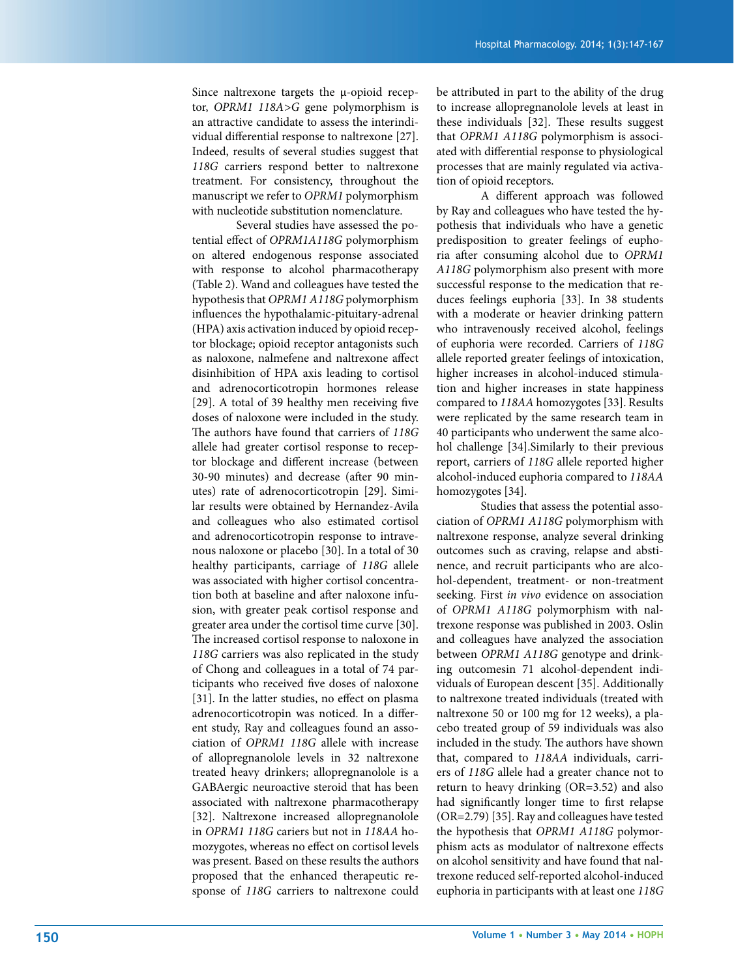Since naltrexone targets the μ-opioid receptor, *OPRM1 118A>G* gene polymorphism is an attractive candidate to assess the interindividual differential response to naltrexone [27]. Indeed, results of several studies suggest that *118G* carriers respond better to naltrexone treatment. For consistency, throughout the manuscript we refer to *OPRM1* polymorphism with nucleotide substitution nomenclature.

 Several studies have assessed the potential effect of *OPRM1A118G* polymorphism on altered endogenous response associated with response to alcohol pharmacotherapy (Table 2). Wand and colleagues have tested the hypothesis that *OPRM1 A118G* polymorphism influences the hypothalamic-pituitary-adrenal (HPA) axis activation induced by opioid receptor blockage; opioid receptor antagonists such as naloxone, nalmefene and naltrexone affect disinhibition of HPA axis leading to cortisol and adrenocorticotropin hormones release [29]. A total of 39 healthy men receiving five doses of naloxone were included in the study. The authors have found that carriers of 118G allele had greater cortisol response to receptor blockage and different increase (between 30-90 minutes) and decrease (after 90 minutes) rate of adrenocorticotropin [29]. Similar results were obtained by Hernandez-Avila and colleagues who also estimated cortisol and adrenocorticotropin response to intravenous naloxone or placebo [30]. In a total of 30 healthy participants, carriage of *118G* allele was associated with higher cortisol concentration both at baseline and after naloxone infusion, with greater peak cortisol response and greater area under the cortisol time curve [30]. The increased cortisol response to naloxone in *118G* carriers was also replicated in the study of Chong and colleagues in a total of 74 participants who received five doses of naloxone [31]. In the latter studies, no effect on plasma adrenocorticotropin was noticed. In a different study, Ray and colleagues found an association of *OPRM1 118G* allele with increase of allopregnanolole levels in 32 naltrexone treated heavy drinkers; allopregnanolole is a GABAergic neuroactive steroid that has been associated with naltrexone pharmacotherapy [32]. Naltrexone increased allopregnanolole in *OPRM1 118G* cariers but not in *118AA* homozygotes, whereas no effect on cortisol levels was present. Based on these results the authors proposed that the enhanced therapeutic response of *118G* carriers to naltrexone could be attributed in part to the ability of the drug to increase allopregnanolole levels at least in these individuals [32]. These results suggest that *OPRM1 A118G* polymorphism is associated with differential response to physiological processes that are mainly regulated via activation of opioid receptors.

A different approach was followed by Ray and colleagues who have tested the hypothesis that individuals who have a genetic predisposition to greater feelings of euphoria after consuming alcohol due to OPRM1 *A118G* polymorphism also present with more successful response to the medication that reduces feelings euphoria [33]. In 38 students with a moderate or heavier drinking pattern who intravenously received alcohol, feelings of euphoria were recorded. Carriers of *118G* allele reported greater feelings of intoxication, higher increases in alcohol-induced stimulation and higher increases in state happiness compared to *118AA* homozygotes [33]. Results were replicated by the same research team in 40 participants who underwent the same alcohol challenge [34].Similarly to their previous report, carriers of *118G* allele reported higher alcohol-induced euphoria compared to *118AA*  homozygotes [34].

 Studies that assess the potential association of *OPRM1 A118G* polymorphism with naltrexone response, analyze several drinking outcomes such as craving, relapse and abstinence, and recruit participants who are alcohol-dependent, treatment- or non-treatment seeking. First *in vivo* evidence on association of *OPRM1 A118G* polymorphism with naltrexone response was published in 2003. Oslin and colleagues have analyzed the association between *OPRM1 A118G* genotype and drinking outcomesin 71 alcohol-dependent individuals of European descent [35]. Additionally to naltrexone treated individuals (treated with naltrexone 50 or 100 mg for 12 weeks), a placebo treated group of 59 individuals was also included in the study. The authors have shown that, compared to *118AA* individuals, carriers of *118G* allele had a greater chance not to return to heavy drinking (OR=3.52) and also had significantly longer time to first relapse (OR=2.79) [35]. Ray and colleagues have tested the hypothesis that *OPRM1 A118G* polymorphism acts as modulator of naltrexone effects on alcohol sensitivity and have found that naltrexone reduced self-reported alcohol-induced euphoria in participants with at least one *118G*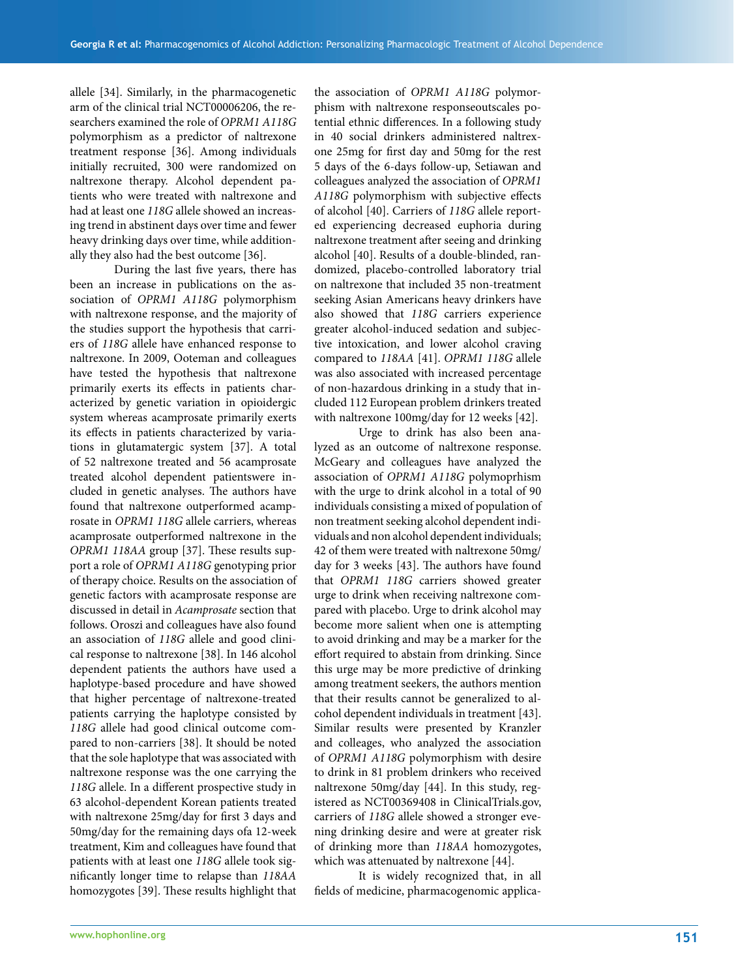allele [34]. Similarly, in the pharmacogenetic arm of the clinical trial NCT00006206, the researchers examined the role of *OPRM1 A118G* polymorphism as a predictor of naltrexone treatment response [36]. Among individuals initially recruited, 300 were randomized on naltrexone therapy. Alcohol dependent patients who were treated with naltrexone and had at least one *118G* allele showed an increasing trend in abstinent days over time and fewer heavy drinking days over time, while additionally they also had the best outcome [36].

During the last five years, there has been an increase in publications on the association of *OPRM1 A118G* polymorphism with naltrexone response, and the majority of the studies support the hypothesis that carriers of *118G* allele have enhanced response to naltrexone. In 2009, Ooteman and colleagues have tested the hypothesis that naltrexone primarily exerts its effects in patients characterized by genetic variation in opioidergic system whereas acamprosate primarily exerts its effects in patients characterized by variations in glutamatergic system [37]. A total of 52 naltrexone treated and 56 acamprosate treated alcohol dependent patientswere included in genetic analyses. The authors have found that naltrexone outperformed acamprosate in *OPRM1 118G* allele carriers, whereas acamprosate outperformed naltrexone in the *OPRM1 118AA* group [37]. These results support a role of *OPRM1 A118G* genotyping prior of therapy choice. Results on the association of genetic factors with acamprosate response are discussed in detail in *Acamprosate* section that follows. Oroszi and colleagues have also found an association of *118G* allele and good clinical response to naltrexone [38]. In 146 alcohol dependent patients the authors have used a haplotype-based procedure and have showed that higher percentage of naltrexone-treated patients carrying the haplotype consisted by *118G* allele had good clinical outcome compared to non-carriers [38]. It should be noted that the sole haplotype that was associated with naltrexone response was the one carrying the 118G allele. In a different prospective study in 63 alcohol-dependent Korean patients treated with naltrexone 25mg/day for first 3 days and 50mg/day for the remaining days ofa 12-week treatment, Kim and colleagues have found that patients with at least one *118G* allele took signifi cantly longer time to relapse than *118AA* homozygotes [39]. These results highlight that

the association of *OPRM1 A118G* polymorphism with naltrexone responseoutscales potential ethnic differences. In a following study in 40 social drinkers administered naltrexone 25mg for first day and 50mg for the rest 5 days of the 6-days follow-up, Setiawan and colleagues analyzed the association of *OPRM1*  A118G polymorphism with subjective effects of alcohol [40]. Carriers of *118G* allele reported experiencing decreased euphoria during naltrexone treatment after seeing and drinking alcohol [40]. Results of a double-blinded, randomized, placebo-controlled laboratory trial on naltrexone that included 35 non-treatment seeking Asian Americans heavy drinkers have also showed that *118G* carriers experience greater alcohol-induced sedation and subjective intoxication, and lower alcohol craving compared to *118AA* [41]. *OPRM1 118G* allele was also associated with increased percentage of non-hazardous drinking in a study that included 112 European problem drinkers treated with naltrexone 100mg/day for 12 weeks [42].

 Urge to drink has also been analyzed as an outcome of naltrexone response. McGeary and colleagues have analyzed the association of *OPRM1 A118G* polymoprhism with the urge to drink alcohol in a total of 90 individuals consisting a mixed of population of non treatment seeking alcohol dependent individuals and non alcohol dependent individuals; 42 of them were treated with naltrexone 50mg/ day for 3 weeks [43]. The authors have found that *OPRM1 118G* carriers showed greater urge to drink when receiving naltrexone compared with placebo. Urge to drink alcohol may become more salient when one is attempting to avoid drinking and may be a marker for the effort required to abstain from drinking. Since this urge may be more predictive of drinking among treatment seekers, the authors mention that their results cannot be generalized to alcohol dependent individuals in treatment [43]. Similar results were presented by Kranzler and colleages, who analyzed the association of *OPRM1 A118G* polymorphism with desire to drink in 81 problem drinkers who received naltrexone 50mg/day [44]. In this study, registered as NCT00369408 in ClinicalTrials.gov, carriers of *118G* allele showed a stronger evening drinking desire and were at greater risk of drinking more than *118AA* homozygotes, which was attenuated by naltrexone [44].

 It is widely recognized that, in all fields of medicine, pharmacogenomic applica-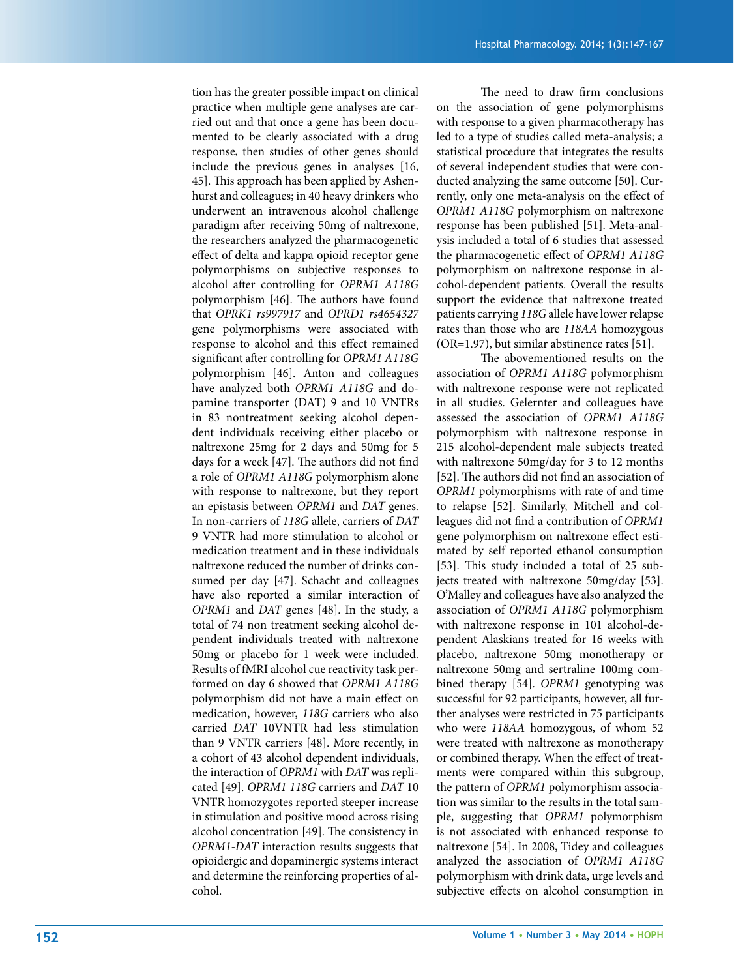tion has the greater possible impact on clinical practice when multiple gene analyses are carried out and that once a gene has been documented to be clearly associated with a drug response, then studies of other genes should include the previous genes in analyses [16, 45]. This approach has been applied by Ashenhurst and colleagues; in 40 heavy drinkers who underwent an intravenous alcohol challenge paradigm after receiving 50mg of naltrexone, the researchers analyzed the pharmacogenetic effect of delta and kappa opioid receptor gene polymorphisms on subjective responses to alcohol after controlling for *OPRM1 A118G* polymorphism [46]. The authors have found that *OPRK1 rs997917* and *OPRD1 rs4654327* gene polymorphisms were associated with response to alcohol and this effect remained significant after controlling for *OPRM1 A118G* polymorphism [46]. Anton and colleagues have analyzed both *OPRM1 A118G* and dopamine transporter (DAT) 9 and 10 VNTRs in 83 nontreatment seeking alcohol dependent individuals receiving either placebo or naltrexone 25mg for 2 days and 50mg for 5 days for a week  $[47]$ . The authors did not find a role of *OPRM1 A118G* polymorphism alone with response to naltrexone, but they report an epistasis between *OPRM1* and *DAT* genes. In non-carriers of *118G* allele, carriers of *DAT* 9 VNTR had more stimulation to alcohol or medication treatment and in these individuals naltrexone reduced the number of drinks consumed per day [47]. Schacht and colleagues have also reported a similar interaction of *OPRM1* and *DAT* genes [48]. In the study, a total of 74 non treatment seeking alcohol dependent individuals treated with naltrexone 50mg or placebo for 1 week were included. Results of fMRI alcohol cue reactivity task performed on day 6 showed that *OPRM1 A118G*  polymorphism did not have a main effect on medication, however, *118G* carriers who also carried *DAT* 10VNTR had less stimulation than 9 VNTR carriers [48]. More recently, in a cohort of 43 alcohol dependent individuals, the interaction of *OPRM1* with *DAT* was replicated [49]. *OPRM1 118G* carriers and *DAT* 10 VNTR homozygotes reported steeper increase in stimulation and positive mood across rising alcohol concentration [49]. The consistency in *OPRM1-DAT* interaction results suggests that opioidergic and dopaminergic systems interact and determine the reinforcing properties of alcohol.

The need to draw firm conclusions on the association of gene polymorphisms with response to a given pharmacotherapy has led to a type of studies called meta-analysis; a statistical procedure that integrates the results of several independent studies that were conducted analyzing the same outcome [50]. Currently, only one meta-analysis on the effect of *OPRM1 A118G* polymorphism on naltrexone response has been published [51]. Meta-analysis included a total of 6 studies that assessed the pharmacogenetic effect of *OPRM1 A118G* polymorphism on naltrexone response in alcohol-dependent patients. Overall the results support the evidence that naltrexone treated patients carrying *118G* allele have lower relapse rates than those who are *118AA* homozygous  $(OR=1.97)$ , but similar abstinence rates [51].

The abovementioned results on the association of *OPRM1 A118G* polymorphism with naltrexone response were not replicated in all studies. Gelernter and colleagues have assessed the association of *OPRM1 A118G* polymorphism with naltrexone response in 215 alcohol-dependent male subjects treated with naltrexone 50mg/day for 3 to 12 months [52]. The authors did not find an association of *OPRM1* polymorphisms with rate of and time to relapse [52]. Similarly, Mitchell and colleagues did not find a contribution of *OPRM1* gene polymorphism on naltrexone effect estimated by self reported ethanol consumption [53]. This study included a total of 25 subjects treated with naltrexone 50mg/day [53]. O'Malley and colleagues have also analyzed the association of *OPRM1 A118G* polymorphism with naltrexone response in 101 alcohol-dependent Alaskians treated for 16 weeks with placebo, naltrexone 50mg monotherapy or naltrexone 50mg and sertraline 100mg combined therapy [54]. *OPRM1* genotyping was successful for 92 participants, however, all further analyses were restricted in 75 participants who were *118AA* homozygous, of whom 52 were treated with naltrexone as monotherapy or combined therapy. When the effect of treatments were compared within this subgroup, the pattern of *OPRM1* polymorphism association was similar to the results in the total sample, suggesting that *OPRM1* polymorphism is not associated with enhanced response to naltrexone [54]. In 2008, Tidey and colleagues analyzed the association of *OPRM1 A118G*  polymorphism with drink data, urge levels and subjective effects on alcohol consumption in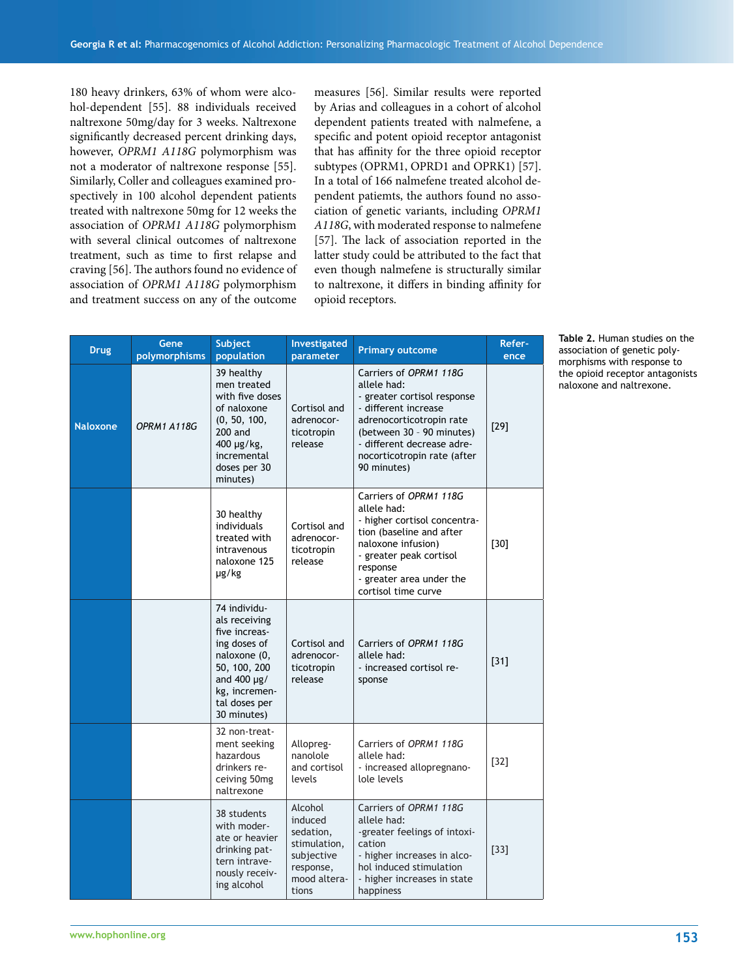180 heavy drinkers, 63% of whom were alcohol-dependent [55]. 88 individuals received naltrexone 50mg/day for 3 weeks. Naltrexone significantly decreased percent drinking days, however, *OPRM1 A118G* polymorphism was not a moderator of naltrexone response [55]. Similarly, Coller and colleagues examined prospectively in 100 alcohol dependent patients treated with naltrexone 50mg for 12 weeks the association of *OPRM1 A118G* polymorphism with several clinical outcomes of naltrexone treatment, such as time to first relapse and craving [56]. The authors found no evidence of association of *OPRM1 A118G* polymorphism and treatment success on any of the outcome

measures [56]. Similar results were reported by Arias and colleagues in a cohort of alcohol dependent patients treated with nalmefene, a specific and potent opioid receptor antagonist that has affinity for the three opioid receptor subtypes (OPRM1, OPRD1 and OPRK1) [57]. In a total of 166 nalmefene treated alcohol dependent patiemts, the authors found no association of genetic variants, including *OPRM1 A118G*, with moderated response to nalmefene [57]. The lack of association reported in the latter study could be attributed to the fact that even though nalmefene is structurally similar to naltrexone, it differs in binding affinity for opioid receptors.

| <b>Drug</b>     | Gene<br>polymorphisms | Subject<br>population                                                                                                                                               | Investigated<br>parameter                                                                           | <b>Primary outcome</b>                                                                                                                                                                                                            | Refer-<br>ence |
|-----------------|-----------------------|---------------------------------------------------------------------------------------------------------------------------------------------------------------------|-----------------------------------------------------------------------------------------------------|-----------------------------------------------------------------------------------------------------------------------------------------------------------------------------------------------------------------------------------|----------------|
| <b>Naloxone</b> | OPRM1 A118G           | 39 healthy<br>men treated<br>with five doses<br>of naloxone<br>(0, 50, 100,<br>$200$ and<br>400 µg/kg,<br>incremental<br>doses per 30<br>minutes)                   | Cortisol and<br>adrenocor-<br>ticotropin<br>release                                                 | Carriers of OPRM1 118G<br>allele had:<br>- greater cortisol response<br>- different increase<br>adrenocorticotropin rate<br>(between 30 - 90 minutes)<br>- different decrease adre-<br>nocorticotropin rate (after<br>90 minutes) | $[29]$         |
|                 |                       | 30 healthy<br>individuals<br>treated with<br>intravenous<br>naloxone 125<br>µg/kg                                                                                   | Cortisol and<br>adrenocor-<br>ticotropin<br>release                                                 | Carriers of OPRM1 118G<br>allele had:<br>- higher cortisol concentra-<br>tion (baseline and after<br>naloxone infusion)<br>- greater peak cortisol<br>response<br>- greater area under the<br>cortisol time curve                 | $[30]$         |
|                 |                       | 74 individu-<br>als receiving<br>five increas-<br>ing doses of<br>naloxone (0,<br>50, 100, 200<br>and $400 \mu g/$<br>kg, incremen-<br>tal doses per<br>30 minutes) | Cortisol and<br>adrenocor-<br>ticotropin<br>release                                                 | Carriers of OPRM1 118G<br>allele had:<br>- increased cortisol re-<br>sponse                                                                                                                                                       | $[31]$         |
|                 |                       | 32 non-treat-<br>ment seeking<br>hazardous<br>drinkers re-<br>ceiving 50mg<br>naltrexone                                                                            | Allopreg-<br>nanolole<br>and cortisol<br>levels                                                     | Carriers of OPRM1 118G<br>allele had:<br>- increased allopregnano-<br>lole levels                                                                                                                                                 | $[32]$         |
|                 |                       | 38 students<br>with moder-<br>ate or heavier<br>drinking pat-<br>tern intrave-<br>nously receiv-<br>ing alcohol                                                     | Alcohol<br>induced<br>sedation,<br>stimulation,<br>subjective<br>response,<br>mood altera-<br>tions | Carriers of OPRM1 118G<br>allele had:<br>-greater feelings of intoxi-<br>cation<br>- higher increases in alco-<br>hol induced stimulation<br>- higher increases in state<br>happiness                                             | $[33]$         |

**Table 2.** Human studies on the association of genetic polymorphisms with response to the opioid receptor antagonists naloxone and naltrexone.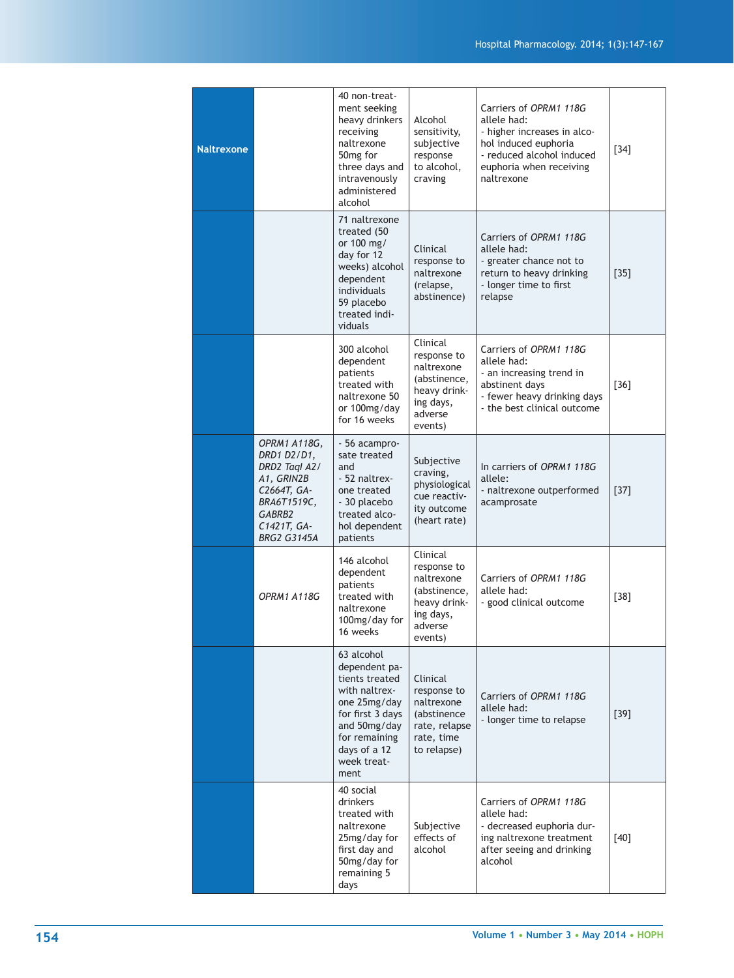| <b>Naltrexone</b> |                                                                                                                                         | 40 non-treat-<br>ment seeking<br>heavy drinkers<br>receiving<br>naltrexone<br>50 <sub>mg for</sub><br>three days and<br>intravenously<br>administered<br>alcohol           | Alcohol<br>sensitivity,<br>subjective<br>response<br>to alcohol,<br>craving                              | Carriers of OPRM1 118G<br>allele had:<br>- higher increases in alco-<br>hol induced euphoria<br>- reduced alcohol induced<br>euphoria when receiving<br>naltrexone | $[34]$ |
|-------------------|-----------------------------------------------------------------------------------------------------------------------------------------|----------------------------------------------------------------------------------------------------------------------------------------------------------------------------|----------------------------------------------------------------------------------------------------------|--------------------------------------------------------------------------------------------------------------------------------------------------------------------|--------|
|                   |                                                                                                                                         | 71 naltrexone<br>treated (50<br>or 100 mg/<br>day for 12<br>weeks) alcohol<br>dependent<br>individuals<br>59 placebo<br>treated indi-<br>viduals                           | Clinical<br>response to<br>naltrexone<br>(relapse,<br>abstinence)                                        | Carriers of OPRM1 118G<br>allele had:<br>- greater chance not to<br>return to heavy drinking<br>- longer time to first<br>relapse                                  | $[35]$ |
|                   |                                                                                                                                         | 300 alcohol<br>dependent<br>patients<br>treated with<br>naltrexone 50<br>or 100mg/day<br>for 16 weeks                                                                      | Clinical<br>response to<br>naltrexone<br>(abstinence,<br>heavy drink-<br>ing days,<br>adverse<br>events) | Carriers of OPRM1 118G<br>allele had:<br>- an increasing trend in<br>abstinent days<br>- fewer heavy drinking days<br>- the best clinical outcome                  | $[36]$ |
|                   | OPRM1 A118G,<br>DRD1 D2/D1,<br>DRD2 Tagl A2/<br>A1, GRIN2B<br>C2664T, GA-<br>BRA6T1519C,<br>GABRB2<br>C1421T, GA-<br><b>BRG2 G3145A</b> | - 56 acampro-<br>sate treated<br>and<br>- 52 naltrex-<br>one treated<br>- 30 placebo<br>treated alco-<br>hol dependent<br>patients                                         | Subjective<br>craving,<br>physiological<br>cue reactiv-<br>ity outcome<br>(heart rate)                   | In carriers of OPRM1 118G<br>allele:<br>- naltrexone outperformed<br>acamprosate                                                                                   | $[37]$ |
|                   | OPRM1 A118G                                                                                                                             | 146 alcohol<br>dependent<br>patients<br>treated with<br>naltrexone<br>100mg/day for<br>16 weeks                                                                            | Clinical<br>response to<br>naltrexone<br>(abstinence,<br>heavy drink-<br>ing days,<br>adverse<br>events) | Carriers of OPRM1 118G<br>allele had:<br>- good clinical outcome                                                                                                   | $[38]$ |
|                   |                                                                                                                                         | 63 alcohol<br>dependent pa-<br>tients treated<br>with naltrex-<br>one 25mg/day<br>for first 3 days<br>and 50mg/day<br>for remaining<br>days of a 12<br>week treat-<br>ment | Clinical<br>response to<br>naltrexone<br>(abstinence<br>rate, relapse<br>rate, time<br>to relapse)       | Carriers of OPRM1 118G<br>allele had:<br>- longer time to relapse                                                                                                  | $[39]$ |
|                   |                                                                                                                                         | 40 social<br>drinkers<br>treated with<br>naltrexone<br>25mg/day for<br>first day and<br>50mg/day for<br>remaining 5<br>days                                                | Subjective<br>effects of<br>alcohol                                                                      | Carriers of OPRM1 118G<br>allele had:<br>- decreased euphoria dur-<br>ing naltrexone treatment<br>after seeing and drinking<br>alcohol                             | $[40]$ |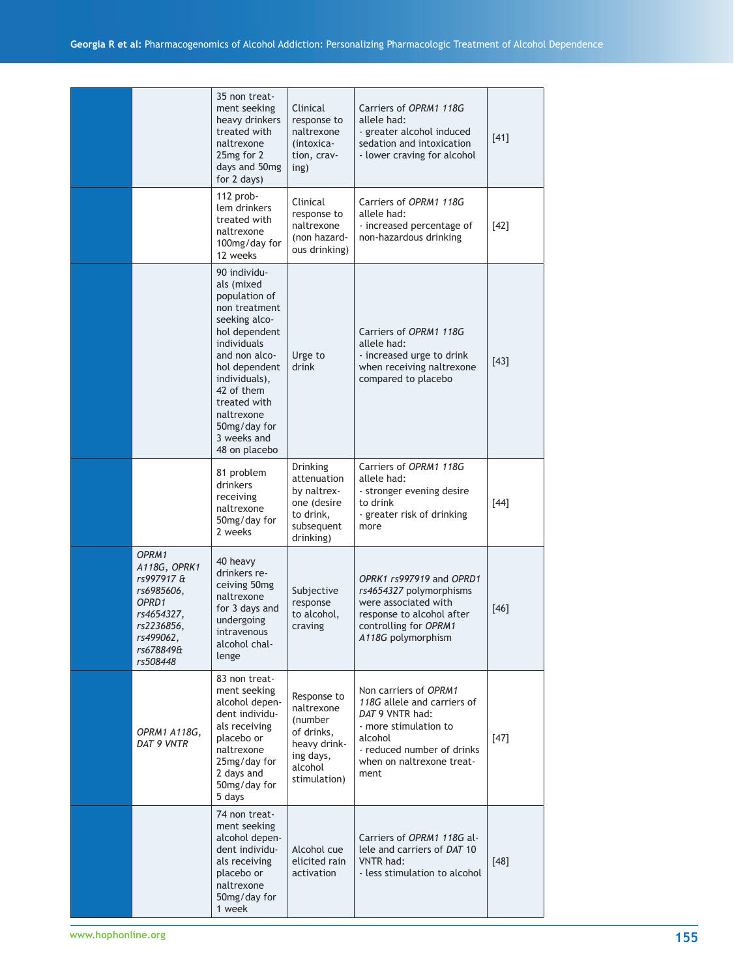|                                                                                                                              | 35 non treat-<br>ment seeking<br>heavy drinkers<br>treated with<br>naltrexone<br>25mg for 2<br>days and 50mg<br>for 2 days)                                                                                                                                  | Clinical<br>response to<br>naltrexone<br>(intoxica-<br>tion, crav-<br>ing)                                 | Carriers of OPRM1 118G<br>allele had:<br>- greater alcohol induced<br>sedation and intoxication<br>- lower craving for alcohol                                                 | $[41]$ |
|------------------------------------------------------------------------------------------------------------------------------|--------------------------------------------------------------------------------------------------------------------------------------------------------------------------------------------------------------------------------------------------------------|------------------------------------------------------------------------------------------------------------|--------------------------------------------------------------------------------------------------------------------------------------------------------------------------------|--------|
|                                                                                                                              | 112 prob-<br>lem drinkers<br>treated with<br>naltrexone<br>100mg/day for<br>12 weeks                                                                                                                                                                         | Clinical<br>response to<br>naltrexone<br>(non hazard-<br>ous drinking)                                     | Carriers of OPRM1 118G<br>allele had:<br>- increased percentage of<br>non-hazardous drinking                                                                                   | $[42]$ |
|                                                                                                                              | 90 individu-<br>als (mixed<br>population of<br>non treatment<br>seeking alco-<br>hol dependent<br>individuals<br>and non alco-<br>hol dependent<br>individuals),<br>42 of them<br>treated with<br>naltrexone<br>50mg/day for<br>3 weeks and<br>48 on placebo | Urge to<br>drink                                                                                           | Carriers of OPRM1 118G<br>allele had:<br>- increased urge to drink<br>when receiving naltrexone<br>compared to placebo                                                         | [43]   |
|                                                                                                                              | 81 problem<br>drinkers<br>receiving<br>naltrexone<br>50mg/day for<br>2 weeks                                                                                                                                                                                 | Drinking<br>attenuation<br>by naltrex-<br>one (desire<br>to drink,<br>subsequent<br>drinking)              | Carriers of OPRM1 118G<br>allele had:<br>- stronger evening desire<br>to drink<br>- greater risk of drinking<br>more                                                           | $[44]$ |
| OPRM1<br>A118G, OPRK1<br>rs997917 &<br>rs6985606,<br>OPRD1<br>rs4654327,<br>rs2236856,<br>rs499062,<br>rs678849&<br>rs508448 | 40 heavy<br>drinkers re-<br>ceiving 50mg<br>naltrexone<br>for 3 days and<br>undergoing<br>intravenous<br>alcohol chal-<br>lenge                                                                                                                              | Subjective<br>response<br>to alcohol,<br>craving                                                           | OPRK1 rs997919 and OPRD1<br>rs4654327 polymorphisms<br>were associated with<br>response to alcohol after<br>controlling for OPRM1<br>A118G polymorphism                        | [46]   |
| OPRM1 A118G.<br>DAT 9 VNTR                                                                                                   | 83 non treat-<br>ment seeking<br>alcohol depen-<br>dent individu-<br>als receiving<br>placebo or<br>naltrexone<br>25mg/day for<br>2 days and<br>50mg/day for<br>5 days                                                                                       | Response to<br>naltrexone<br>(number<br>of drinks,<br>heavy drink-<br>ing days,<br>alcohol<br>stimulation) | Non carriers of OPRM1<br>118G allele and carriers of<br>DAT 9 VNTR had:<br>- more stimulation to<br>alcohol<br>- reduced number of drinks<br>when on naltrexone treat-<br>ment | $[47]$ |
|                                                                                                                              | 74 non treat-<br>ment seeking<br>alcohol depen-<br>dent individu-<br>als receiving<br>placebo or<br>naltrexone<br>50mg/day for<br>1 week                                                                                                                     | Alcohol cue<br>elicited rain<br>activation                                                                 | Carriers of OPRM1 118G al-<br>lele and carriers of DAT 10<br><b>VNTR had:</b><br>- less stimulation to alcohol                                                                 | $[48]$ |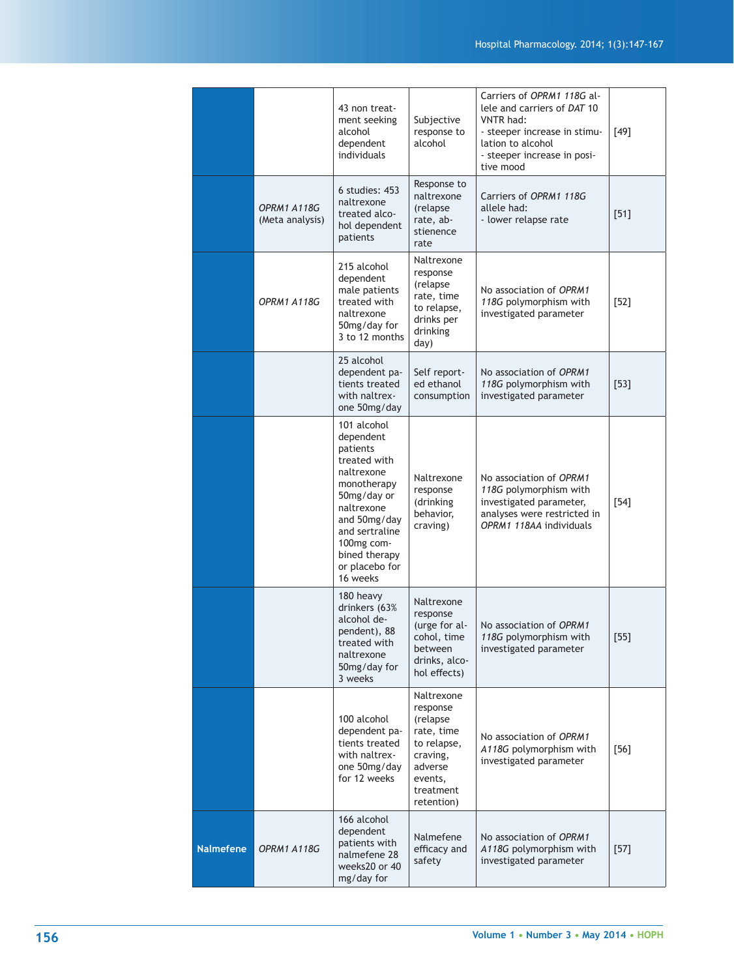|                  |                                | 43 non treat-<br>ment seeking<br>alcohol<br>dependent<br>individuals                                                                                                                                          | Subjective<br>response to<br>alcohol                                                                                         | Carriers of OPRM1 118G al-<br>lele and carriers of DAT 10<br>VNTR had:<br>- steeper increase in stimu-<br>lation to alcohol<br>- steeper increase in posi-<br>tive mood | $[49]$ |
|------------------|--------------------------------|---------------------------------------------------------------------------------------------------------------------------------------------------------------------------------------------------------------|------------------------------------------------------------------------------------------------------------------------------|-------------------------------------------------------------------------------------------------------------------------------------------------------------------------|--------|
|                  | OPRM1 A118G<br>(Meta analysis) | 6 studies: 453<br>naltrexone<br>treated alco-<br>hol dependent<br>patients                                                                                                                                    | Response to<br>naltrexone<br>(relapse)<br>rate, ab-<br>stienence<br>rate                                                     | Carriers of OPRM1 118G<br>allele had:<br>- lower relapse rate                                                                                                           | $[51]$ |
|                  | OPRM1 A118G                    | 215 alcohol<br>dependent<br>male patients<br>treated with<br>naltrexone<br>50mg/day for<br>3 to 12 months                                                                                                     | Naltrexone<br>response<br>(relapse<br>rate, time<br>to relapse,<br>drinks per<br>drinking<br>day)                            | No association of OPRM1<br>118G polymorphism with<br>investigated parameter                                                                                             | $[52]$ |
|                  |                                | 25 alcohol<br>dependent pa-<br>tients treated<br>with naltrex-<br>one 50mg/day                                                                                                                                | Self report-<br>ed ethanol<br>consumption                                                                                    | No association of OPRM1<br>118G polymorphism with<br>investigated parameter                                                                                             | $[53]$ |
|                  |                                | 101 alcohol<br>dependent<br>patients<br>treated with<br>naltrexone<br>monotherapy<br>50mg/day or<br>naltrexone<br>and 50mg/day<br>and sertraline<br>100mg com-<br>bined therapy<br>or placebo for<br>16 weeks | Naltrexone<br>response<br>(drinking<br>behavior,<br>craving)                                                                 | No association of OPRM1<br>118G polymorphism with<br>investigated parameter,<br>analyses were restricted in<br>OPRM1 118AA individuals                                  | $[54]$ |
|                  |                                | 180 heavy<br>drinkers (63%<br>alcohol de-<br>pendent), 88<br>treated with<br>naltrexone<br>50mg/day for<br>3 weeks                                                                                            | Naltrexone<br>response<br>(urge for al-<br>cohol, time<br>between<br>drinks, alco-<br>hol effects)                           | No association of OPRM1<br>118G polymorphism with<br>investigated parameter                                                                                             | $[55]$ |
|                  |                                | 100 alcohol<br>dependent pa-<br>tients treated<br>with naltrex-<br>one 50mg/day<br>for 12 weeks                                                                                                               | Naltrexone<br>response<br>(relapse<br>rate, time<br>to relapse,<br>craving,<br>adverse<br>events,<br>treatment<br>retention) | No association of OPRM1<br>A118G polymorphism with<br>investigated parameter                                                                                            | $[56]$ |
| <b>Nalmefene</b> | OPRM1 A118G                    | 166 alcohol<br>dependent<br>patients with<br>nalmefene 28<br>weeks20 or 40<br>mg/day for                                                                                                                      | Nalmefene<br>efficacy and<br>safety                                                                                          | No association of OPRM1<br>A118G polymorphism with<br>investigated parameter                                                                                            | $[57]$ |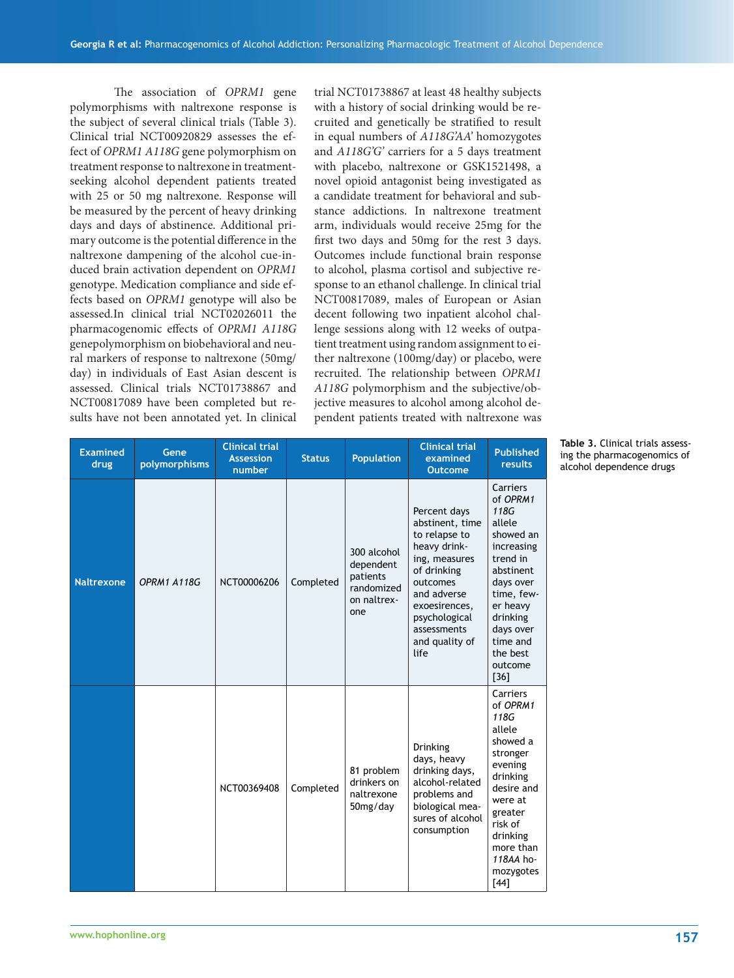The association of *OPRM1* gene polymorphisms with naltrexone response is the subject of several clinical trials (Table 3). Clinical trial NCT00920829 assesses the effect of *OPRM1 A118G* gene polymorphism on treatment response to naltrexone in treatmentseeking alcohol dependent patients treated with 25 or 50 mg naltrexone. Response will be measured by the percent of heavy drinking days and days of abstinence. Additional primary outcome is the potential difference in the naltrexone dampening of the alcohol cue-induced brain activation dependent on *OPRM1* genotype. Medication compliance and side effects based on *OPRM1* genotype will also be assessed.In clinical trial NCT02026011 the pharmacogenomic effects of *OPRM1 A118G* genepolymorphism on biobehavioral and neural markers of response to naltrexone (50mg/ day) in individuals of East Asian descent is assessed. Clinical trials NCT01738867 and NCT00817089 have been completed but results have not been annotated yet. In clinical trial NCT01738867 at least 48 healthy subjects with a history of social drinking would be recruited and genetically be stratified to result in equal numbers of *A118G'AA'* homozygotes and *A118G'G'* carriers for a 5 days treatment with placebo, naltrexone or GSK1521498, a novel opioid antagonist being investigated as a candidate treatment for behavioral and substance addictions. In naltrexone treatment arm, individuals would receive 25mg for the first two days and 50mg for the rest 3 days. Outcomes include functional brain response to alcohol, plasma cortisol and subjective response to an ethanol challenge. In clinical trial NCT00817089, males of European or Asian decent following two inpatient alcohol challenge sessions along with 12 weeks of outpatient treatment using random assignment to either naltrexone (100mg/day) or placebo, were recruited. The relationship between *OPRM1 A118G* polymorphism and the subjective/objective measures to alcohol among alcohol dependent patients treated with naltrexone was

| <b>Examined</b><br>drug | Gene<br>polymorphisms | <b>Clinical trial</b><br><b>Assession</b><br>number | <b>Status</b> | <b>Population</b>                                                        | <b>Clinical trial</b><br>examined<br><b>Outcome</b>                                                                                                                                                    | <b>Published</b><br>results                                                                                                                                                                             |
|-------------------------|-----------------------|-----------------------------------------------------|---------------|--------------------------------------------------------------------------|--------------------------------------------------------------------------------------------------------------------------------------------------------------------------------------------------------|---------------------------------------------------------------------------------------------------------------------------------------------------------------------------------------------------------|
| <b>Naltrexone</b>       | OPRM1 A118G           | NCT00006206                                         | Completed     | 300 alcohol<br>dependent<br>patients<br>randomized<br>on naltrex-<br>one | Percent days<br>abstinent, time<br>to relapse to<br>heavy drink-<br>ing, measures<br>of drinking<br>outcomes<br>and adverse<br>exoesirences,<br>psychological<br>assessments<br>and quality of<br>life | Carriers<br>of OPRM1<br>118G<br>allele<br>showed an<br>increasing<br>trend in<br>abstinent<br>days over<br>time, few-<br>er heavy<br>drinking<br>days over<br>time and<br>the best<br>outcome<br>$[36]$ |
|                         |                       | NCT00369408                                         | Completed     | 81 problem<br>drinkers on<br>naltrexone<br>50mg/day                      | <b>Drinking</b><br>days, heavy<br>drinking days,<br>alcohol-related<br>problems and<br>biological mea-<br>sures of alcohol<br>consumption                                                              | Carriers<br>of OPRM1<br>118G<br>allele<br>showed a<br>stronger<br>evening<br>drinking<br>desire and<br>were at<br>greater<br>risk of<br>drinking<br>more than<br>118AA ho-<br>mozygotes<br>[44]         |

**Table 3.** Clinical trials assessing the pharmacogenomics of alcohol dependence drugs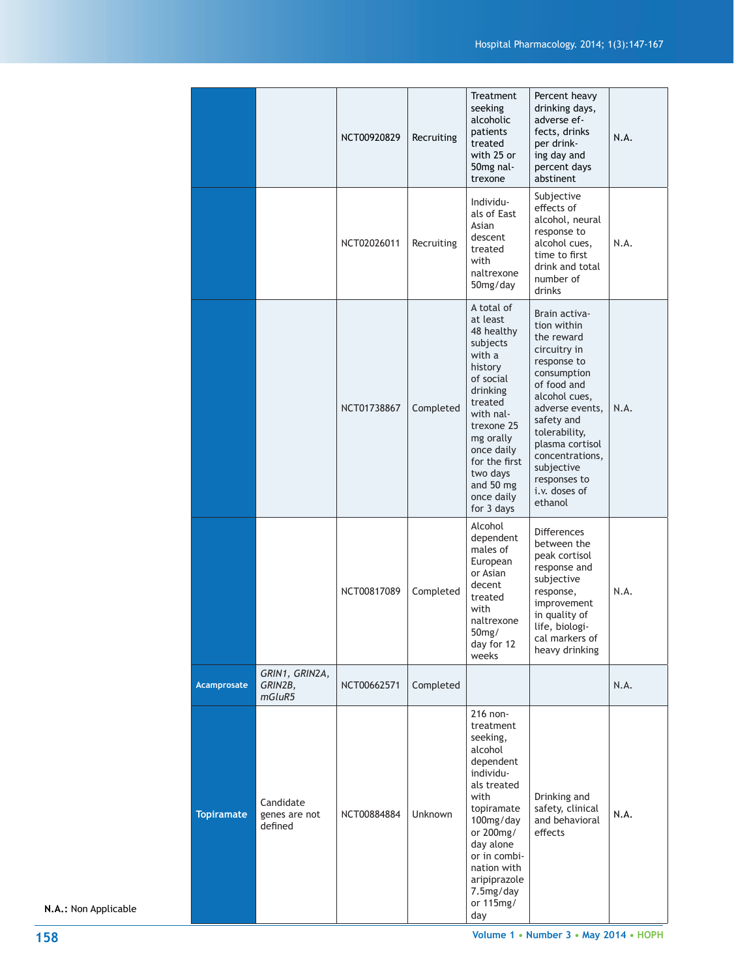|                   |                                       | NCT00920829 | Recruiting     | Treatment<br>seeking<br>alcoholic<br>patients<br>treated<br>with 25 or<br>50mg nal-<br>trexone                                                                                                                                        | Percent heavy<br>drinking days,<br>adverse ef-<br>fects, drinks<br>per drink-<br>ing day and<br>percent days<br>abstinent                                                                                                                                                  | N.A. |
|-------------------|---------------------------------------|-------------|----------------|---------------------------------------------------------------------------------------------------------------------------------------------------------------------------------------------------------------------------------------|----------------------------------------------------------------------------------------------------------------------------------------------------------------------------------------------------------------------------------------------------------------------------|------|
|                   |                                       | NCT02026011 | Recruiting     | Individu-<br>als of East<br>Asian<br>descent<br>treated<br>with<br>naltrexone<br>50mg/day                                                                                                                                             | Subjective<br>effects of<br>alcohol, neural<br>response to<br>alcohol cues,<br>time to first<br>drink and total<br>number of<br>drinks                                                                                                                                     | N.A. |
|                   |                                       | NCT01738867 | Completed      | A total of<br>at least<br>48 healthy<br>subjects<br>with a<br>history<br>of social<br>drinking<br>treated<br>with nal-<br>trexone 25<br>mg orally<br>once daily<br>for the first<br>two days<br>and 50 mg<br>once daily<br>for 3 days | Brain activa-<br>tion within<br>the reward<br>circuitry in<br>response to<br>consumption<br>of food and<br>alcohol cues,<br>adverse events,<br>safety and<br>tolerability,<br>plasma cortisol<br>concentrations,<br>subjective<br>responses to<br>i.v. doses of<br>ethanol | N.A. |
|                   |                                       | NCT00817089 | Completed      | Alcohol<br>dependent<br>males of<br>European<br>or Asian<br>decent<br>treated<br>with<br>naltrexone<br>50mg/<br>day for 12<br>weeks                                                                                                   | <b>Differences</b><br>between the<br>peak cortisol<br>response and<br>subjective<br>response,<br>improvement<br>in quality of<br>life, biologi-<br>cal markers of<br>heavy drinking                                                                                        | N.A. |
| Acamprosate       | GRIN1, GRIN2A,<br>GRIN2B,<br>mGluR5   | NCT00662571 | Completed      |                                                                                                                                                                                                                                       |                                                                                                                                                                                                                                                                            | N.A. |
| <b>Topiramate</b> | Candidate<br>genes are not<br>defined | NCT00884884 | <b>Unknown</b> | 216 non-<br>treatment<br>seeking,<br>alcohol<br>dependent<br>individu-<br>als treated<br>with<br>topiramate<br>100mg/day<br>or 200mg/<br>day alone<br>or in combi-<br>nation with<br>aripiprazole<br>7.5mg/day<br>or 115mg/<br>day    | Drinking and<br>safety, clinical<br>and behavioral<br>effects                                                                                                                                                                                                              | N.A. |

**N.A.:** Non Applicable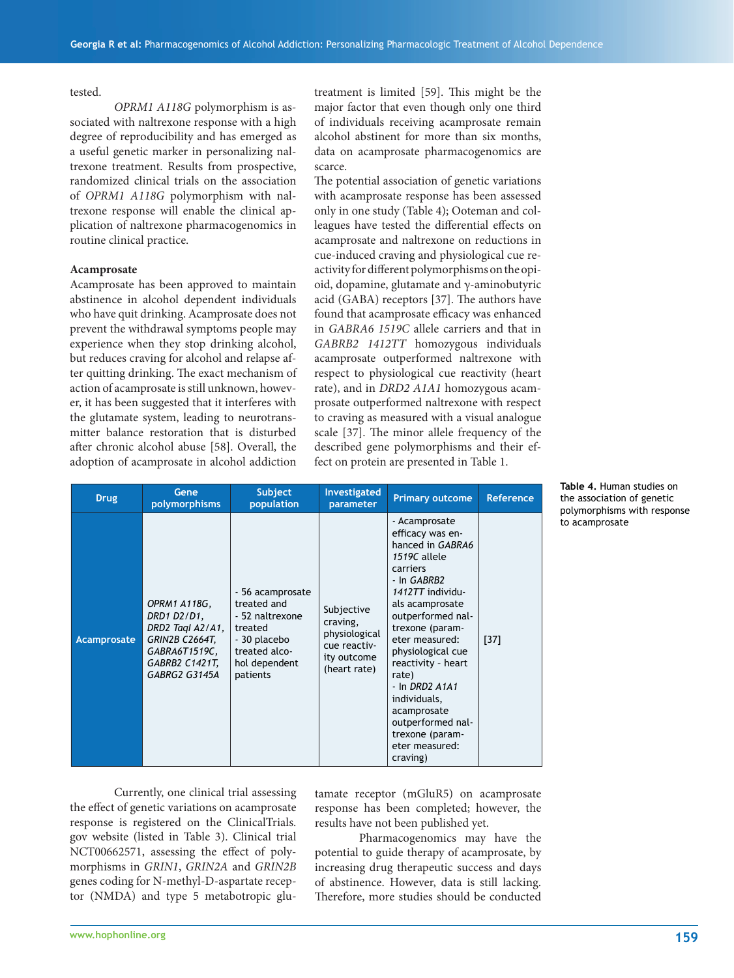#### tested.

*OPRM1 A118G* polymorphism is associated with naltrexone response with a high degree of reproducibility and has emerged as a useful genetic marker in personalizing naltrexone treatment. Results from prospective, randomized clinical trials on the association of *OPRM1 A118G* polymorphism with naltrexone response will enable the clinical application of naltrexone pharmacogenomics in routine clinical practice.

#### **Acamprosate**

Acamprosate has been approved to maintain abstinence in alcohol dependent individuals who have quit drinking. Acamprosate does not prevent the withdrawal symptoms people may experience when they stop drinking alcohol, but reduces craving for alcohol and relapse after quitting drinking. The exact mechanism of action of acamprosate is still unknown, however, it has been suggested that it interferes with the glutamate system, leading to neurotransmitter balance restoration that is disturbed after chronic alcohol abuse [58]. Overall, the adoption of acamprosate in alcohol addiction

treatment is limited [59]. This might be the major factor that even though only one third of individuals receiving acamprosate remain alcohol abstinent for more than six months, data on acamprosate pharmacogenomics are scarce.

The potential association of genetic variations with acamprosate response has been assessed only in one study (Table 4); Ooteman and colleagues have tested the differential effects on acamprosate and naltrexone on reductions in cue-induced craving and physiological cue reactivity for different polymorphisms on the opioid, dopamine, glutamate and γ-aminobutyric acid (GABA) receptors [37]. The authors have found that acamprosate efficacy was enhanced in *GABRA6 1519C* allele carriers and that in *GABRB2 1412TT* homozygous individuals acamprosate outperformed naltrexone with respect to physiological cue reactivity (heart rate), and in *DRD2 A1A1* homozygous acamprosate outperformed naltrexone with respect to craving as measured with a visual analogue scale [37]. The minor allele frequency of the described gene polymorphisms and their effect on protein are presented in Table 1.

| <b>Drug</b> | Gene<br>polymorphisms                                                                                                        | <b>Subject</b><br>population                                                                                                | Investigated<br>parameter                                                              | <b>Primary outcome</b>                                                                                                                                                                                                                                                                                                                                                         | <b>Reference</b> |
|-------------|------------------------------------------------------------------------------------------------------------------------------|-----------------------------------------------------------------------------------------------------------------------------|----------------------------------------------------------------------------------------|--------------------------------------------------------------------------------------------------------------------------------------------------------------------------------------------------------------------------------------------------------------------------------------------------------------------------------------------------------------------------------|------------------|
| Acamprosate | OPRM1 A118G,<br>DRD1 D2/D1,<br>DRD2 Tagl A2/A1,<br><b>GRIN2B C2664T,</b><br>GABRA6T1519C,<br>GABRB2 C1421T,<br>GABRG2 G3145A | - 56 acamprosate<br>treated and<br>- 52 naltrexone<br>treated<br>- 30 placebo<br>treated alco-<br>hol dependent<br>patients | Subjective<br>craving,<br>physiological<br>cue reactiv-<br>ity outcome<br>(heart rate) | - Acamprosate<br>efficacy was en-<br>hanced in GABRA6<br>1519C allele<br>carriers<br>- In GABRB2<br>1412TT individu-<br>als acamprosate<br>outperformed nal-<br>trexone (param-<br>eter measured:<br>physiological cue<br>reactivity - heart<br>rate)<br>$-$ In DRD2 A1A1<br>individuals,<br>acamprosate<br>outperformed nal-<br>trexone (param-<br>eter measured:<br>craving) | $[37]$           |

 Currently, one clinical trial assessing the effect of genetic variations on acamprosate response is registered on the ClinicalTrials. gov website (listed in Table 3). Clinical trial NCT00662571, assessing the effect of polymorphisms in *GRIN1*, *GRIN2A* and *GRIN2B* genes coding for N-methyl-D-aspartate receptor (NMDA) and type 5 metabotropic glutamate receptor (mGluR5) on acamprosate response has been completed; however, the results have not been published yet.

 Pharmacogenomics may have the potential to guide therapy of acamprosate, by increasing drug therapeutic success and days of abstinence. However, data is still lacking. Therefore, more studies should be conducted

the association of genetic polymorphisms with response to acamprosate

**Table 4.** Human studies on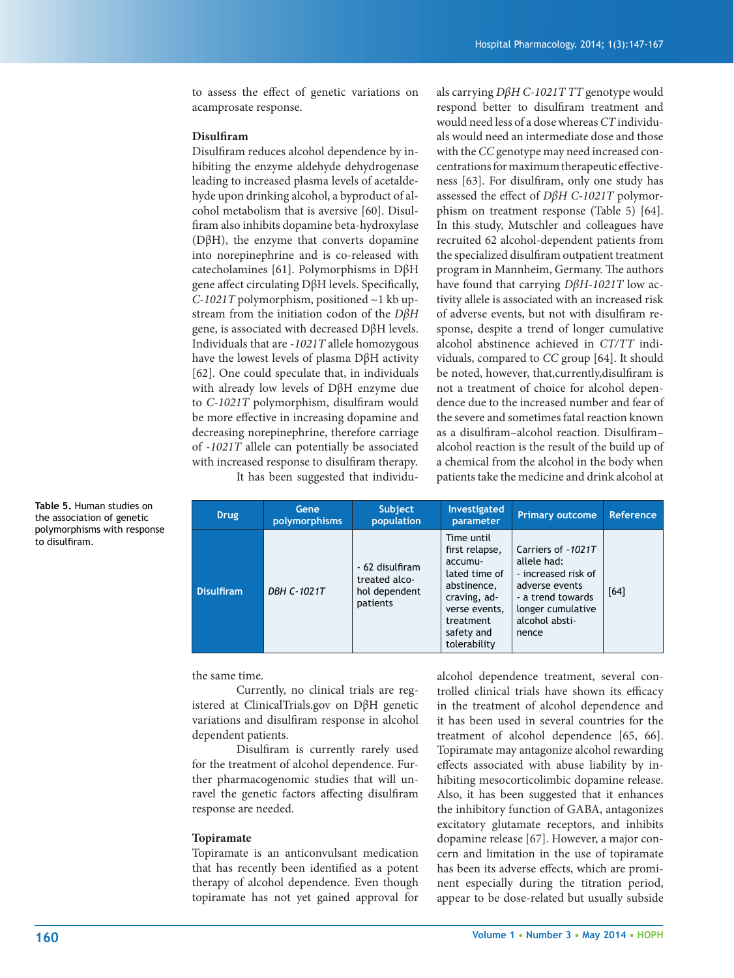to assess the effect of genetic variations on acamprosate response.

#### **Disulfi ram**

Disulfiram reduces alcohol dependence by inhibiting the enzyme aldehyde dehydrogenase leading to increased plasma levels of acetaldehyde upon drinking alcohol, a byproduct of alcohol metabolism that is aversive [60]. Disulfiram also inhibits dopamine beta-hydroxylase (DβH), the enzyme that converts dopamine into norepinephrine and is co-released with catecholamines [61]. Polymorphisms in DβH gene affect circulating DβH levels. Specifically, *C-1021T* polymorphism, positioned ~1 kb upstream from the initiation codon of the *DβH* gene, is associated with decreased DβH levels. Individuals that are -*1021T* allele homozygous have the lowest levels of plasma DβH activity [62]. One could speculate that, in individuals with already low levels of DβH enzyme due to *C-1021T* polymorphism, disulfiram would be more effective in increasing dopamine and decreasing norepinephrine, therefore carriage of -*1021T* allele can potentially be associated with increased response to disulfiram therapy. It has been suggested that individuals carrying *DβH C-1021T TT* genotype would respond better to disulfiram treatment and would need less of a dose whereas *CT* individuals would need an intermediate dose and those with the *CC* genotype may need increased concentrations for maximum therapeutic effectiveness [63]. For disulfiram, only one study has assessed the effect of *DβH C-1021T* polymorphism on treatment response (Table 5) [64]. In this study, Mutschler and colleagues have recruited 62 alcohol-dependent patients from the specialized disulfiram outpatient treatment program in Mannheim, Germany. The authors have found that carrying *DβH-1021T* low activity allele is associated with an increased risk of adverse events, but not with disulfiram response, despite a trend of longer cumulative alcohol abstinence achieved in *CT/TT* individuals, compared to *CC* group [64]. It should be noted, however, that,currently,disulfiram is not a treatment of choice for alcohol dependence due to the increased number and fear of the severe and sometimes fatal reaction known as a disulfiram-alcohol reaction. Disulfiramalcohol reaction is the result of the build up of a chemical from the alcohol in the body when patients take the medicine and drink alcohol at

**Drug Gene polymorphisms Subject population Investigated parameter Primary outcome Reference Disulfiram** *DBH C-1021T* - 62 disulfiram treated alcohol dependent patients Time until first relapse, accumulated time of abstinence, craving, adverse events, treatment safety and tolerability Carriers of -*1021T* allele had: - increased risk of adverse events - a trend towards longer cumulative alcohol abstinence [64]

the same time.

 Currently, no clinical trials are registered at ClinicalTrials.gov on DβH genetic variations and disulfiram response in alcohol dependent patients.

Disulfiram is currently rarely used for the treatment of alcohol dependence. Further pharmacogenomic studies that will unravel the genetic factors affecting disulfiram response are needed.

#### **Topiramate**

Topiramate is an anticonvulsant medication that has recently been identified as a potent therapy of alcohol dependence. Even though topiramate has not yet gained approval for

alcohol dependence treatment, several controlled clinical trials have shown its efficacy in the treatment of alcohol dependence and it has been used in several countries for the treatment of alcohol dependence [65, 66]. Topiramate may antagonize alcohol rewarding effects associated with abuse liability by inhibiting mesocorticolimbic dopamine release. Also, it has been suggested that it enhances the inhibitory function of GABA, antagonizes excitatory glutamate receptors, and inhibits dopamine release [67]. However, a major concern and limitation in the use of topiramate has been its adverse effects, which are prominent especially during the titration period, appear to be dose-related but usually subside

**Table 5.** Human studies on the association of genetic polymorphisms with response to disulfiram.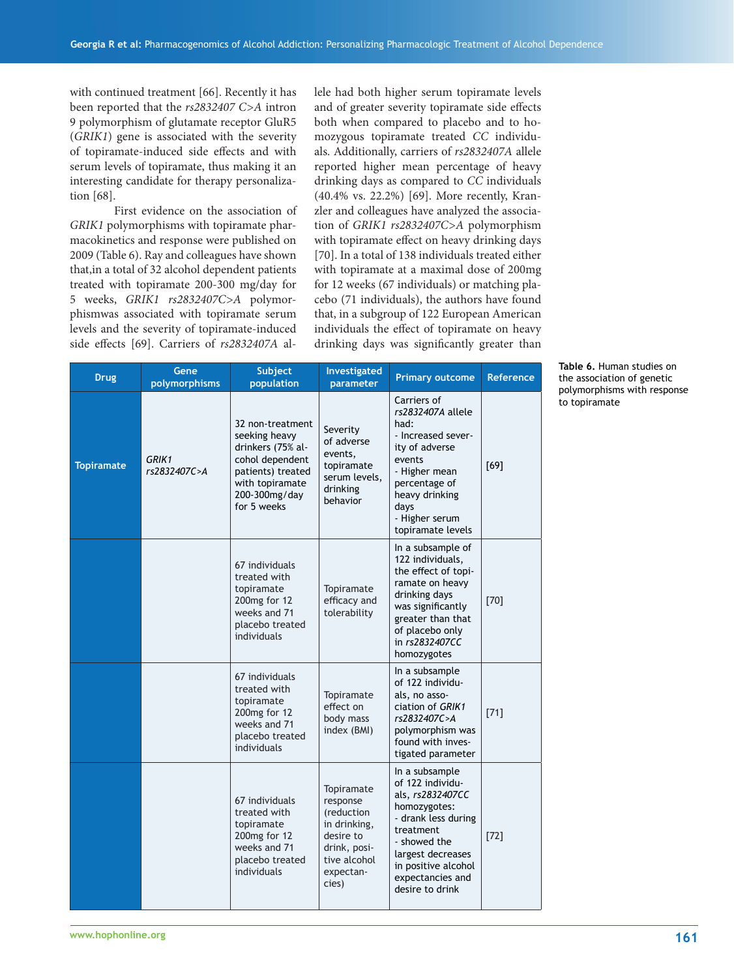with continued treatment [66]. Recently it has been reported that the *rs2832407 C>A* intron 9 polymorphism of glutamate receptor GluR5 (*GRIK1*) gene is associated with the severity of topiramate-induced side effects and with serum levels of topiramate, thus making it an interesting candidate for therapy personalization [68].

 First evidence on the association of *GRIK1* polymorphisms with topiramate pharmacokinetics and response were published on 2009 (Table 6). Ray and colleagues have shown that,in a total of 32 alcohol dependent patients treated with topiramate 200-300 mg/day for 5 weeks, *GRIK1 rs2832407C>A* polymorphismwas associated with topiramate serum levels and the severity of topiramate-induced side effects [69]. Carriers of  $rs2832407A$  allele had both higher serum topiramate levels and of greater severity topiramate side effects both when compared to placebo and to homozygous topiramate treated *CC* individuals. Additionally, carriers of *rs2832407A* allele reported higher mean percentage of heavy drinking days as compared to *CC* individuals (40.4% vs. 22.2%) [69]. More recently, Kranzler and colleagues have analyzed the association of *GRIK1 rs2832407C>A* polymorphism with topiramate effect on heavy drinking days [70]. In a total of 138 individuals treated either with topiramate at a maximal dose of 200mg for 12 weeks (67 individuals) or matching placebo (71 individuals), the authors have found that, in a subgroup of 122 European American individuals the effect of topiramate on heavy drinking days was significantly greater than

| <b>Drug</b>       | Gene<br>polymorphisms | Subject<br>population                                                                                                                             | Investigated<br>parameter                                                                                               | <b>Primary outcome</b>                                                                                                                                                                                        | <b>Reference</b> |
|-------------------|-----------------------|---------------------------------------------------------------------------------------------------------------------------------------------------|-------------------------------------------------------------------------------------------------------------------------|---------------------------------------------------------------------------------------------------------------------------------------------------------------------------------------------------------------|------------------|
| <b>Topiramate</b> | GRIK1<br>rs2832407C>A | 32 non-treatment<br>seeking heavy<br>drinkers (75% al-<br>cohol dependent<br>patients) treated<br>with topiramate<br>200-300mg/day<br>for 5 weeks | Severity<br>of adverse<br>events,<br>topiramate<br>serum levels,<br>drinking<br>behavior                                | Carriers of<br>rs2832407A allele<br>had:<br>- Increased sever-<br>ity of adverse<br>events<br>- Higher mean<br>percentage of<br>heavy drinking<br>days<br>- Higher serum<br>topiramate levels                 | [69]             |
|                   |                       | 67 individuals<br>treated with<br>topiramate<br>200mg for 12<br>weeks and 71<br>placebo treated<br>individuals                                    | Topiramate<br>efficacy and<br>tolerability                                                                              | In a subsample of<br>122 individuals,<br>the effect of topi-<br>ramate on heavy<br>drinking days<br>was significantly<br>greater than that<br>of placebo only<br>in rs2832407CC<br>homozygotes                | $[70]$           |
|                   |                       | 67 individuals<br>treated with<br>topiramate<br>200mg for 12<br>weeks and 71<br>placebo treated<br>individuals                                    | Topiramate<br>effect on<br>body mass<br>index (BMI)                                                                     | In a subsample<br>of 122 individu-<br>als, no asso-<br>ciation of GRIK1<br>rs2832407C>A<br>polymorphism was<br>found with inves-<br>tigated parameter                                                         | $[71]$           |
|                   |                       | 67 individuals<br>treated with<br>topiramate<br>200mg for 12<br>weeks and 71<br>placebo treated<br>individuals                                    | Topiramate<br>response<br>(reduction<br>in drinking,<br>desire to<br>drink, posi-<br>tive alcohol<br>expectan-<br>cies) | In a subsample<br>of 122 individu-<br>als, rs2832407CC<br>homozygotes:<br>- drank less during<br>treatment<br>- showed the<br>largest decreases<br>in positive alcohol<br>expectancies and<br>desire to drink | $[72]$           |

**Table 6.** Human studies on the association of genetic polymorphisms with response to topiramate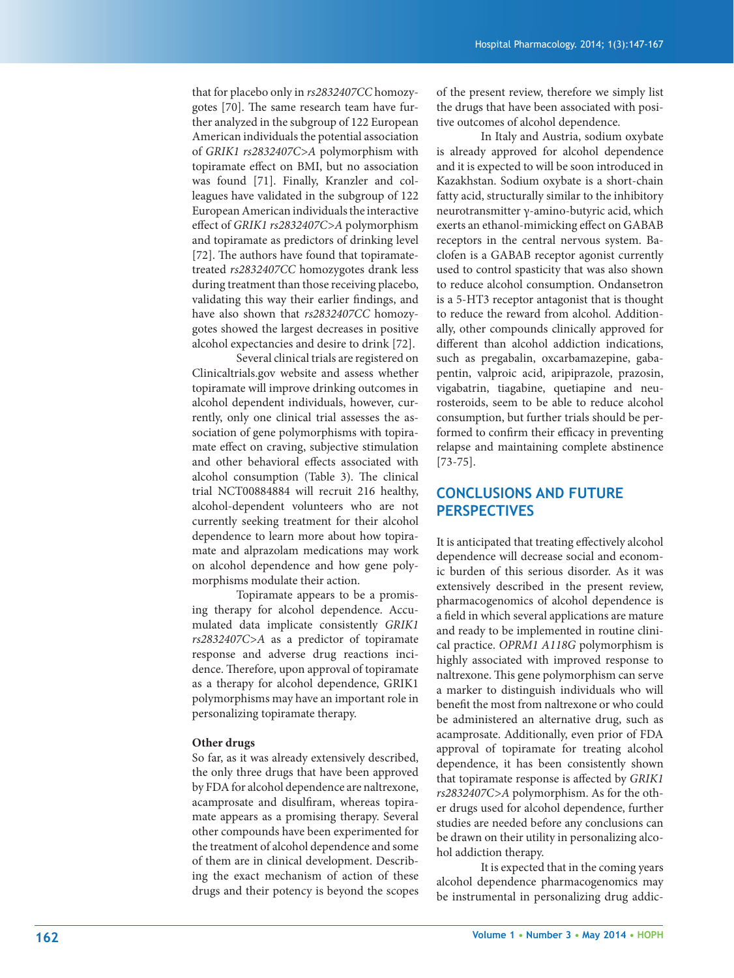that for placebo only in *rs2832407CC* homozygotes [70]. The same research team have further analyzed in the subgroup of 122 European American individuals the potential association of *GRIK1 rs2832407C>A* polymorphism with topiramate effect on BMI, but no association was found [71]. Finally, Kranzler and colleagues have validated in the subgroup of 122 European American individuals the interactive effect of *GRIK1 rs2832407C>A* polymorphism and topiramate as predictors of drinking level [72]. The authors have found that topiramatetreated *rs2832407CC* homozygotes drank less during treatment than those receiving placebo, validating this way their earlier findings, and have also shown that *rs2832407CC* homozygotes showed the largest decreases in positive alcohol expectancies and desire to drink [72].

 Several clinical trials are registered on Clinicaltrials.gov website and assess whether topiramate will improve drinking outcomes in alcohol dependent individuals, however, currently, only one clinical trial assesses the association of gene polymorphisms with topiramate effect on craving, subjective stimulation and other behavioral effects associated with alcohol consumption (Table 3). The clinical trial NCT00884884 will recruit 216 healthy, alcohol-dependent volunteers who are not currently seeking treatment for their alcohol dependence to learn more about how topiramate and alprazolam medications may work on alcohol dependence and how gene polymorphisms modulate their action.

 Topiramate appears to be a promising therapy for alcohol dependence. Accumulated data implicate consistently *GRIK1 rs2832407C>A* as a predictor of topiramate response and adverse drug reactions incidence. Therefore, upon approval of topiramate as a therapy for alcohol dependence, GRIK1 polymorphisms may have an important role in personalizing topiramate therapy.

#### **Other drugs**

So far, as it was already extensively described, the only three drugs that have been approved by FDA for alcohol dependence are naltrexone, acamprosate and disulfiram, whereas topiramate appears as a promising therapy. Several other compounds have been experimented for the treatment of alcohol dependence and some of them are in clinical development. Describing the exact mechanism of action of these drugs and their potency is beyond the scopes of the present review, therefore we simply list the drugs that have been associated with positive outcomes of alcohol dependence.

 In Italy and Austria, sodium oxybate is already approved for alcohol dependence and it is expected to will be soon introduced in Kazakhstan. Sodium oxybate is a short-chain fatty acid, structurally similar to the inhibitory neurotransmitter γ-amino-butyric acid, which exerts an ethanol-mimicking effect on GABAB receptors in the central nervous system. Baclofen is a GABAB receptor agonist currently used to control spasticity that was also shown to reduce alcohol consumption. Ondansetron is a 5-HT3 receptor antagonist that is thought to reduce the reward from alcohol. Additionally, other compounds clinically approved for different than alcohol addiction indications, such as pregabalin, oxcarbamazepine, gabapentin, valproic acid, aripiprazole, prazosin, vigabatrin, tiagabine, quetiapine and neurosteroids, seem to be able to reduce alcohol consumption, but further trials should be performed to confirm their efficacy in preventing relapse and maintaining complete abstinence [73-75].

# **CONCLUSIONS AND FUTURE PERSPECTIVES**

It is anticipated that treating effectively alcohol dependence will decrease social and economic burden of this serious disorder. As it was extensively described in the present review, pharmacogenomics of alcohol dependence is a field in which several applications are mature and ready to be implemented in routine clinical practice. *OPRM1 A118G* polymorphism is highly associated with improved response to naltrexone. This gene polymorphism can serve a marker to distinguish individuals who will benefit the most from naltrexone or who could be administered an alternative drug, such as acamprosate. Additionally, even prior of FDA approval of topiramate for treating alcohol dependence, it has been consistently shown that topiramate response is affected by *GRIK1 rs2832407C>A* polymorphism. As for the other drugs used for alcohol dependence, further studies are needed before any conclusions can be drawn on their utility in personalizing alcohol addiction therapy.

 It is expected that in the coming years alcohol dependence pharmacogenomics may be instrumental in personalizing drug addic-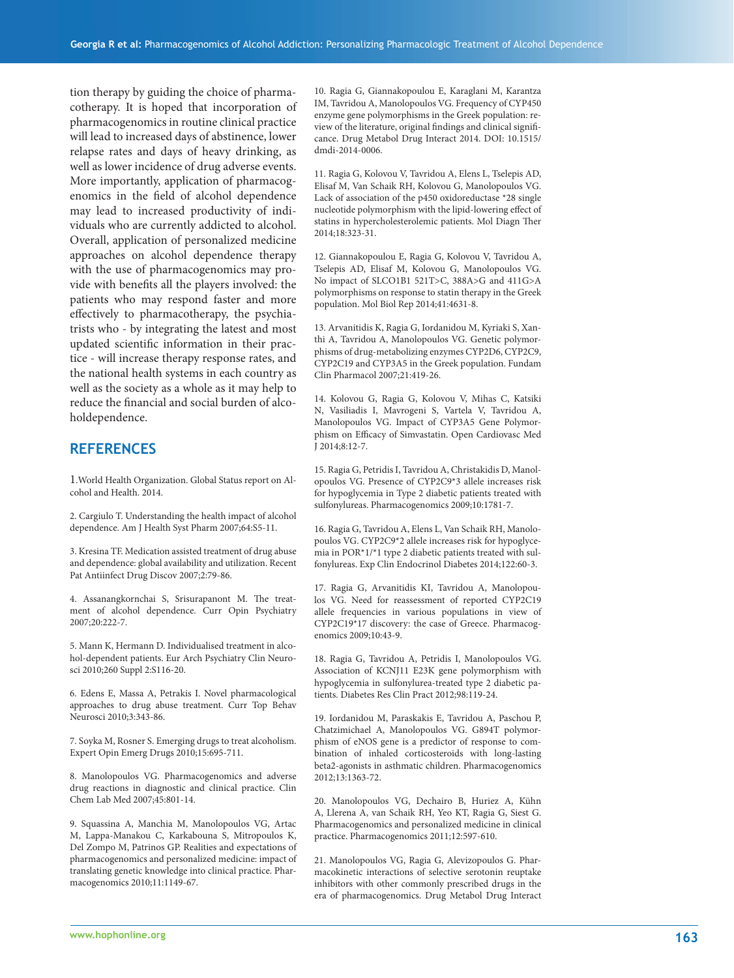tion therapy by guiding the choice of pharmacotherapy. It is hoped that incorporation of pharmacogenomics in routine clinical practice will lead to increased days of abstinence, lower relapse rates and days of heavy drinking, as well as lower incidence of drug adverse events. More importantly, application of pharmacogenomics in the field of alcohol dependence may lead to increased productivity of individuals who are currently addicted to alcohol. Overall, application of personalized medicine approaches on alcohol dependence therapy with the use of pharmacogenomics may provide with benefits all the players involved: the patients who may respond faster and more effectively to pharmacotherapy, the psychiatrists who - by integrating the latest and most updated scientific information in their practice - will increase therapy response rates, and the national health systems in each country as well as the society as a whole as it may help to reduce the financial and social burden of alcoholdependence.

#### **REFERENCES**

1.World Health Organization. Global Status report on Alcohol and Health. 2014.

2. Cargiulo T. Understanding the health impact of alcohol dependence. Am J Health Syst Pharm 2007;64:S5-11.

3. Kresina TF. Medication assisted treatment of drug abuse and dependence: global availability and utilization. Recent Pat Antiinfect Drug Discov 2007;2:79-86.

4. Assanangkornchai S, Srisurapanont M. The treatment of alcohol dependence. Curr Opin Psychiatry 2007;20:222-7.

5. Mann K, Hermann D. Individualised treatment in alcohol-dependent patients. Eur Arch Psychiatry Clin Neurosci 2010;260 Suppl 2:S116-20.

6. Edens E, Massa A, Petrakis I. Novel pharmacological approaches to drug abuse treatment. Curr Top Behav Neurosci 2010;3:343-86.

7. Soyka M, Rosner S. Emerging drugs to treat alcoholism. Expert Opin Emerg Drugs 2010;15:695-711.

8. Manolopoulos VG. Pharmacogenomics and adverse drug reactions in diagnostic and clinical practice. Clin Chem Lab Med 2007;45:801-14.

9. Squassina A, Manchia M, Manolopoulos VG, Artac M, Lappa-Manakou C, Karkabouna S, Mitropoulos K, Del Zompo M, Patrinos GP. Realities and expectations of pharmacogenomics and personalized medicine: impact of translating genetic knowledge into clinical practice. Pharmacogenomics 2010;11:1149-67.

10. Ragia G, Giannakopoulou E, Karaglani M, Karantza IM, Tavridou A, Manolopoulos VG. Frequency of CYP450 enzyme gene polymorphisms in the Greek population: review of the literature, original findings and clinical significance. Drug Metabol Drug Interact 2014. DOI: 10.1515/ dmdi-2014-0006.

11. Ragia G, Kolovou V, Tavridou A, Elens L, Tselepis AD, Elisaf M, Van Schaik RH, Kolovou G, Manolopoulos VG. Lack of association of the p450 oxidoreductase \*28 single nucleotide polymorphism with the lipid-lowering effect of statins in hypercholesterolemic patients. Mol Diagn Ther 2014;18:323-31.

12. Giannakopoulou E, Ragia G, Kolovou V, Tavridou A, Tselepis AD, Elisaf M, Kolovou G, Manolopoulos VG. No impact of SLCO1B1 521T>C, 388A>G and 411G>A polymorphisms on response to statin therapy in the Greek population. Mol Biol Rep 2014;41:4631-8.

13. Arvanitidis K, Ragia G, Iordanidou M, Kyriaki S, Xanthi A, Tavridou A, Manolopoulos VG. Genetic polymorphisms of drug-metabolizing enzymes CYP2D6, CYP2C9, CYP2C19 and CYP3A5 in the Greek population. Fundam Clin Pharmacol 2007;21:419-26.

14. Kolovou G, Ragia G, Kolovou V, Mihas C, Katsiki N, Vasiliadis I, Mavrogeni S, Vartela V, Tavridou A, Manolopoulos VG. Impact of CYP3A5 Gene Polymorphism on Efficacy of Simvastatin. Open Cardiovasc Med J 2014;8:12-7.

15. Ragia G, Petridis I, Tavridou A, Christakidis D, Manolopoulos VG. Presence of CYP2C9\*3 allele increases risk for hypoglycemia in Type 2 diabetic patients treated with sulfonylureas. Pharmacogenomics 2009;10:1781-7.

16. Ragia G, Tavridou A, Elens L, Van Schaik RH, Manolopoulos VG. CYP2C9\*2 allele increases risk for hypoglycemia in POR\*1/\*1 type 2 diabetic patients treated with sulfonylureas. Exp Clin Endocrinol Diabetes 2014;122:60-3.

17. Ragia G, Arvanitidis KI, Tavridou A, Manolopoulos VG. Need for reassessment of reported CYP2C19 allele frequencies in various populations in view of CYP2C19\*17 discovery: the case of Greece. Pharmacogenomics 2009;10:43-9.

18. Ragia G, Tavridou A, Petridis I, Manolopoulos VG. Association of KCNJ11 E23K gene polymorphism with hypoglycemia in sulfonylurea-treated type 2 diabetic patients. Diabetes Res Clin Pract 2012;98:119-24.

19. Iordanidou M, Paraskakis E, Tavridou A, Paschou P, Chatzimichael A, Manolopoulos VG. G894T polymorphism of eNOS gene is a predictor of response to combination of inhaled corticosteroids with long-lasting beta2-agonists in asthmatic children. Pharmacogenomics 2012;13:1363-72.

20. Manolopoulos VG, Dechairo B, Huriez A, Kühn A, Llerena A, van Schaik RH, Yeo KT, Ragia G, Siest G. Pharmacogenomics and personalized medicine in clinical practice. Pharmacogenomics 2011;12:597-610.

21. Manolopoulos VG, Ragia G, Alevizopoulos G. Pharmacokinetic interactions of selective serotonin reuptake inhibitors with other commonly prescribed drugs in the era of pharmacogenomics. Drug Metabol Drug Interact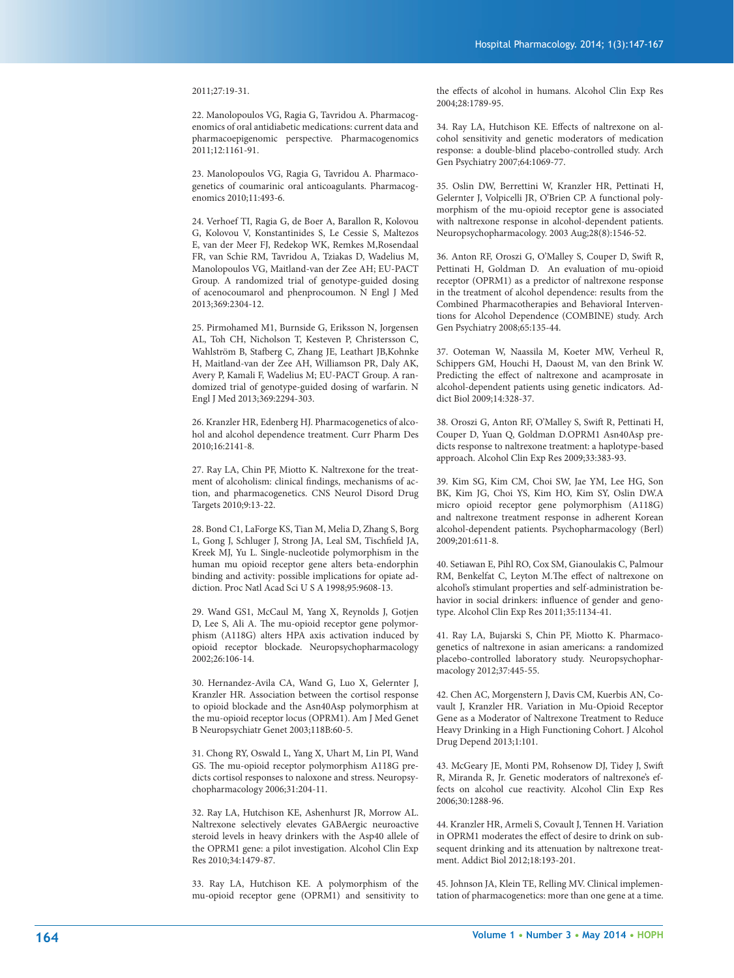#### 2011;27:19-31.

22. Manolopoulos VG, Ragia G, Tavridou A. Pharmacogenomics of oral antidiabetic medications: current data and pharmacoepigenomic perspective. Pharmacogenomics 2011;12:1161-91.

23. Manolopoulos VG, Ragia G, Tavridou A. Pharmacogenetics of coumarinic oral anticoagulants. Pharmacogenomics 2010;11:493-6.

24. Verhoef TI, Ragia G, de Boer A, Barallon R, Kolovou G, Kolovou V, Konstantinides S, Le Cessie S, Maltezos E, van der Meer FJ, Redekop WK, Remkes M,Rosendaal FR, van Schie RM, Tavridou A, Tziakas D, Wadelius M, Manolopoulos VG, Maitland-van der Zee AH; EU-PACT Group. A randomized trial of genotype-guided dosing of acenocoumarol and phenprocoumon. N Engl J Med 2013;369:2304-12.

25. Pirmohamed M1, Burnside G, Eriksson N, Jorgensen AL, Toh CH, Nicholson T, Kesteven P, Christersson C, Wahlström B, Stafberg C, Zhang JE, Leathart JB,Kohnke H, Maitland-van der Zee AH, Williamson PR, Daly AK, Avery P, Kamali F, Wadelius M; EU-PACT Group. A randomized trial of genotype-guided dosing of warfarin. N Engl J Med 2013;369:2294-303.

26. Kranzler HR, Edenberg HJ. Pharmacogenetics of alcohol and alcohol dependence treatment. Curr Pharm Des 2010;16:2141-8.

27. Ray LA, Chin PF, Miotto K. Naltrexone for the treatment of alcoholism: clinical findings, mechanisms of action, and pharmacogenetics. CNS Neurol Disord Drug Targets 2010;9:13-22.

28. Bond C1, LaForge KS, Tian M, Melia D, Zhang S, Borg L, Gong J, Schluger J, Strong JA, Leal SM, Tischfield JA, Kreek MJ, Yu L. Single-nucleotide polymorphism in the human mu opioid receptor gene alters beta-endorphin binding and activity: possible implications for opiate addiction. Proc Natl Acad Sci U S A 1998;95:9608-13.

29. Wand GS1, McCaul M, Yang X, Reynolds J, Gotjen D, Lee S, Ali A. The mu-opioid receptor gene polymorphism (A118G) alters HPA axis activation induced by opioid receptor blockade. Neuropsychopharmacology 2002;26:106-14.

30. Hernandez-Avila CA, Wand G, Luo X, Gelernter J, Kranzler HR. Association between the cortisol response to opioid blockade and the Asn40Asp polymorphism at the mu-opioid receptor locus (OPRM1). Am J Med Genet B Neuropsychiatr Genet 2003;118B:60-5.

31. Chong RY, Oswald L, Yang X, Uhart M, Lin PI, Wand GS. The mu-opioid receptor polymorphism A118G predicts cortisol responses to naloxone and stress. Neuropsychopharmacology 2006;31:204-11.

32. Ray LA, Hutchison KE, Ashenhurst JR, Morrow AL. Naltrexone selectively elevates GABAergic neuroactive steroid levels in heavy drinkers with the Asp40 allele of the OPRM1 gene: a pilot investigation. Alcohol Clin Exp Res 2010;34:1479-87.

33. Ray LA, Hutchison KE. A polymorphism of the mu-opioid receptor gene (OPRM1) and sensitivity to the effects of alcohol in humans. Alcohol Clin Exp Res 2004;28:1789-95.

34. Ray LA, Hutchison KE. Effects of naltrexone on alcohol sensitivity and genetic moderators of medication response: a double-blind placebo-controlled study. Arch Gen Psychiatry 2007;64:1069-77.

35. Oslin DW, Berrettini W, Kranzler HR, Pettinati H, Gelernter J, Volpicelli JR, O'Brien CP. A functional polymorphism of the mu-opioid receptor gene is associated with naltrexone response in alcohol-dependent patients. Neuropsychopharmacology. 2003 Aug;28(8):1546-52.

36. Anton RF, Oroszi G, O'Malley S, Couper D, Swift R, Pettinati H, Goldman D. An evaluation of mu-opioid receptor (OPRM1) as a predictor of naltrexone response in the treatment of alcohol dependence: results from the Combined Pharmacotherapies and Behavioral Interventions for Alcohol Dependence (COMBINE) study. Arch Gen Psychiatry 2008;65:135-44.

37. Ooteman W, Naassila M, Koeter MW, Verheul R, Schippers GM, Houchi H, Daoust M, van den Brink W. Predicting the effect of naltrexone and acamprosate in alcohol-dependent patients using genetic indicators. Addict Biol 2009;14:328-37.

38. Oroszi G, Anton RF, O'Malley S, Swift R, Pettinati H, Couper D, Yuan Q, Goldman D.OPRM1 Asn40Asp predicts response to naltrexone treatment: a haplotype-based approach. Alcohol Clin Exp Res 2009;33:383-93.

39. Kim SG, Kim CM, Choi SW, Jae YM, Lee HG, Son BK, Kim JG, Choi YS, Kim HO, Kim SY, Oslin DW.A micro opioid receptor gene polymorphism (A118G) and naltrexone treatment response in adherent Korean alcohol-dependent patients. Psychopharmacology (Berl) 2009;201:611-8.

40. Setiawan E, Pihl RO, Cox SM, Gianoulakis C, Palmour RM, Benkelfat C, Leyton M.The effect of naltrexone on alcohol's stimulant properties and self-administration behavior in social drinkers: influence of gender and genotype. Alcohol Clin Exp Res 2011;35:1134-41.

41. Ray LA, Bujarski S, Chin PF, Miotto K. Pharmacogenetics of naltrexone in asian americans: a randomized placebo-controlled laboratory study. Neuropsychopharmacology 2012;37:445-55.

42. Chen AC, Morgenstern J, Davis CM, Kuerbis AN, Covault J, Kranzler HR. Variation in Mu-Opioid Receptor Gene as a Moderator of Naltrexone Treatment to Reduce Heavy Drinking in a High Functioning Cohort. J Alcohol Drug Depend 2013;1:101.

43. McGeary JE, Monti PM, Rohsenow DJ, Tidey J, Swift R, Miranda R, Jr. Genetic moderators of naltrexone's effects on alcohol cue reactivity. Alcohol Clin Exp Res 2006;30:1288-96.

44. Kranzler HR, Armeli S, Covault J, Tennen H. Variation in OPRM1 moderates the effect of desire to drink on subsequent drinking and its attenuation by naltrexone treatment. Addict Biol 2012;18:193-201.

45. Johnson JA, Klein TE, Relling MV. Clinical implementation of pharmacogenetics: more than one gene at a time.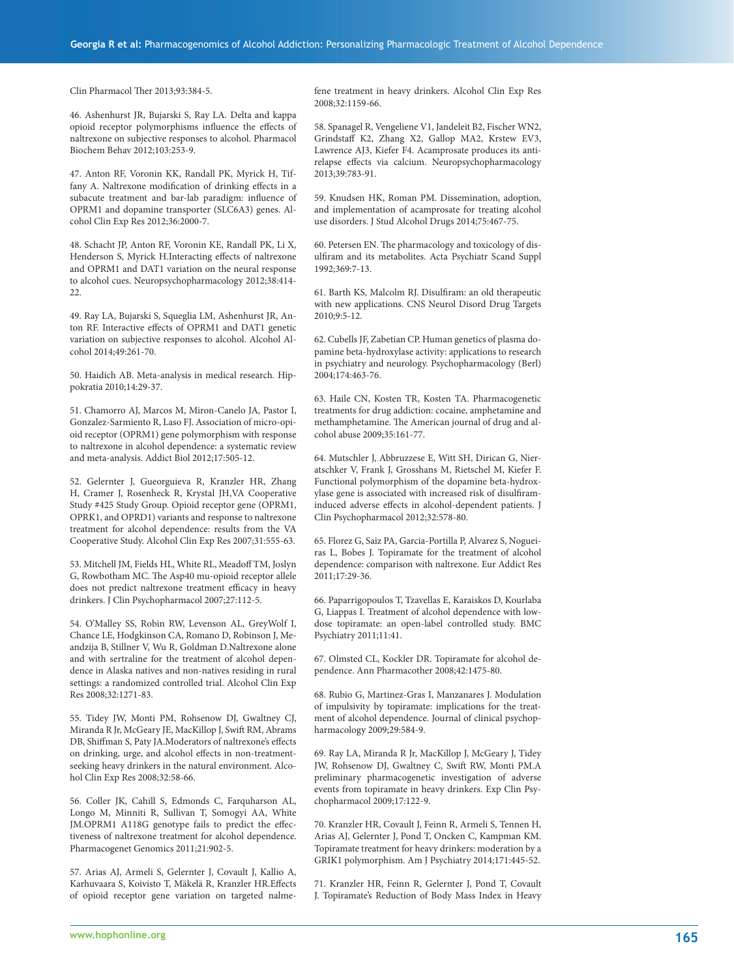Clin Pharmacol Ther 2013;93:384-5.

46. Ashenhurst JR, Bujarski S, Ray LA. Delta and kappa opioid receptor polymorphisms influence the effects of naltrexone on subjective responses to alcohol. Pharmacol Biochem Behav 2012;103:253-9.

47. Anton RF, Voronin KK, Randall PK, Myrick H, Tiffany A. Naltrexone modification of drinking effects in a subacute treatment and bar-lab paradigm: influence of OPRM1 and dopamine transporter (SLC6A3) genes. Alcohol Clin Exp Res 2012;36:2000-7.

48. Schacht JP, Anton RF, Voronin KE, Randall PK, Li X, Henderson S, Myrick H.Interacting effects of naltrexone and OPRM1 and DAT1 variation on the neural response to alcohol cues. Neuropsychopharmacology 2012;38:414-  $22.2$ 

49. Ray LA, Bujarski S, Squeglia LM, Ashenhurst JR, Anton RF. Interactive effects of OPRM1 and DAT1 genetic variation on subjective responses to alcohol. Alcohol Alcohol 2014;49:261-70.

50. Haidich AB. Meta-analysis in medical research. Hippokratia 2010;14:29-37.

51. Chamorro AJ, Marcos M, Miron-Canelo JA, Pastor I, Gonzalez-Sarmiento R, Laso FJ. Association of micro-opioid receptor (OPRM1) gene polymorphism with response to naltrexone in alcohol dependence: a systematic review and meta-analysis. Addict Biol 2012;17:505-12.

52. Gelernter J, Gueorguieva R, Kranzler HR, Zhang H, Cramer J, Rosenheck R, Krystal JH,VA Cooperative Study #425 Study Group. Opioid receptor gene (OPRM1, OPRK1, and OPRD1) variants and response to naltrexone treatment for alcohol dependence: results from the VA Cooperative Study. Alcohol Clin Exp Res 2007;31:555-63.

53. Mitchell JM, Fields HL, White RL, Meadoff TM, Joslyn G, Rowbotham MC. The Asp40 mu-opioid receptor allele does not predict naltrexone treatment efficacy in heavy drinkers. J Clin Psychopharmacol 2007;27:112-5.

54. O'Malley SS, Robin RW, Levenson AL, GreyWolf I, Chance LE, Hodgkinson CA, Romano D, Robinson J, Meandzija B, Stillner V, Wu R, Goldman D.Naltrexone alone and with sertraline for the treatment of alcohol dependence in Alaska natives and non-natives residing in rural settings: a randomized controlled trial. Alcohol Clin Exp Res 2008;32:1271-83.

55. Tidey JW, Monti PM, Rohsenow DJ, Gwaltney CJ, Miranda R Jr, McGeary JE, MacKillop J, Swift RM, Abrams DB, Shiffman S, Paty JA.Moderators of naltrexone's effects on drinking, urge, and alcohol effects in non-treatmentseeking heavy drinkers in the natural environment. Alcohol Clin Exp Res 2008;32:58-66.

56. Coller JK, Cahill S, Edmonds C, Farquharson AL, Longo M, Minniti R, Sullivan T, Somogyi AA, White JM.OPRM1 A118G genotype fails to predict the effectiveness of naltrexone treatment for alcohol dependence. Pharmacogenet Genomics 2011;21:902-5.

57. Arias AJ, Armeli S, Gelernter J, Covault J, Kallio A, Karhuvaara S, Koivisto T, Mäkelä R, Kranzler HR.Effects of opioid receptor gene variation on targeted nalmefene treatment in heavy drinkers. Alcohol Clin Exp Res 2008;32:1159-66.

58. Spanagel R, Vengeliene V1, Jandeleit B2, Fischer WN2, Grindstaff K2, Zhang X2, Gallop MA2, Krstew EV3, Lawrence AJ3, Kiefer F4. Acamprosate produces its antirelapse effects via calcium. Neuropsychopharmacology 2013;39:783-91.

59. Knudsen HK, Roman PM. Dissemination, adoption, and implementation of acamprosate for treating alcohol use disorders. J Stud Alcohol Drugs 2014;75:467-75.

60. Petersen EN. The pharmacology and toxicology of disulfiram and its metabolites. Acta Psychiatr Scand Suppl 1992;369:7-13.

61. Barth KS, Malcolm RJ. Disulfiram: an old therapeutic with new applications. CNS Neurol Disord Drug Targets 2010;9:5-12.

62. Cubells JF, Zabetian CP. Human genetics of plasma dopamine beta-hydroxylase activity: applications to research in psychiatry and neurology. Psychopharmacology (Berl) 2004;174:463-76.

63. Haile CN, Kosten TR, Kosten TA. Pharmacogenetic treatments for drug addiction: cocaine, amphetamine and methamphetamine. The American journal of drug and alcohol abuse 2009;35:161-77.

64. Mutschler J, Abbruzzese E, Witt SH, Dirican G, Nieratschker V, Frank J, Grosshans M, Rietschel M, Kiefer F. Functional polymorphism of the dopamine beta-hydroxylase gene is associated with increased risk of disulfiraminduced adverse effects in alcohol-dependent patients. J Clin Psychopharmacol 2012;32:578-80.

65. Florez G, Saiz PA, Garcia-Portilla P, Alvarez S, Nogueiras L, Bobes J. Topiramate for the treatment of alcohol dependence: comparison with naltrexone. Eur Addict Res 2011;17:29-36.

66. Paparrigopoulos T, Tzavellas E, Karaiskos D, Kourlaba G, Liappas I. Treatment of alcohol dependence with lowdose topiramate: an open-label controlled study. BMC Psychiatry 2011;11:41.

67. Olmsted CL, Kockler DR. Topiramate for alcohol dependence. Ann Pharmacother 2008;42:1475-80.

68. Rubio G, Martinez-Gras I, Manzanares J. Modulation of impulsivity by topiramate: implications for the treatment of alcohol dependence. Journal of clinical psychopharmacology 2009;29:584-9.

69. Ray LA, Miranda R Jr, MacKillop J, McGeary J, Tidey JW, Rohsenow DJ, Gwaltney C, Swift RW, Monti PM.A preliminary pharmacogenetic investigation of adverse events from topiramate in heavy drinkers. Exp Clin Psychopharmacol 2009;17:122-9.

70. Kranzler HR, Covault J, Feinn R, Armeli S, Tennen H, Arias AJ, Gelernter J, Pond T, Oncken C, Kampman KM. Topiramate treatment for heavy drinkers: moderation by a GRIK1 polymorphism. Am J Psychiatry 2014;171:445-52.

71. Kranzler HR, Feinn R, Gelernter J, Pond T, Covault J. Topiramate's Reduction of Body Mass Index in Heavy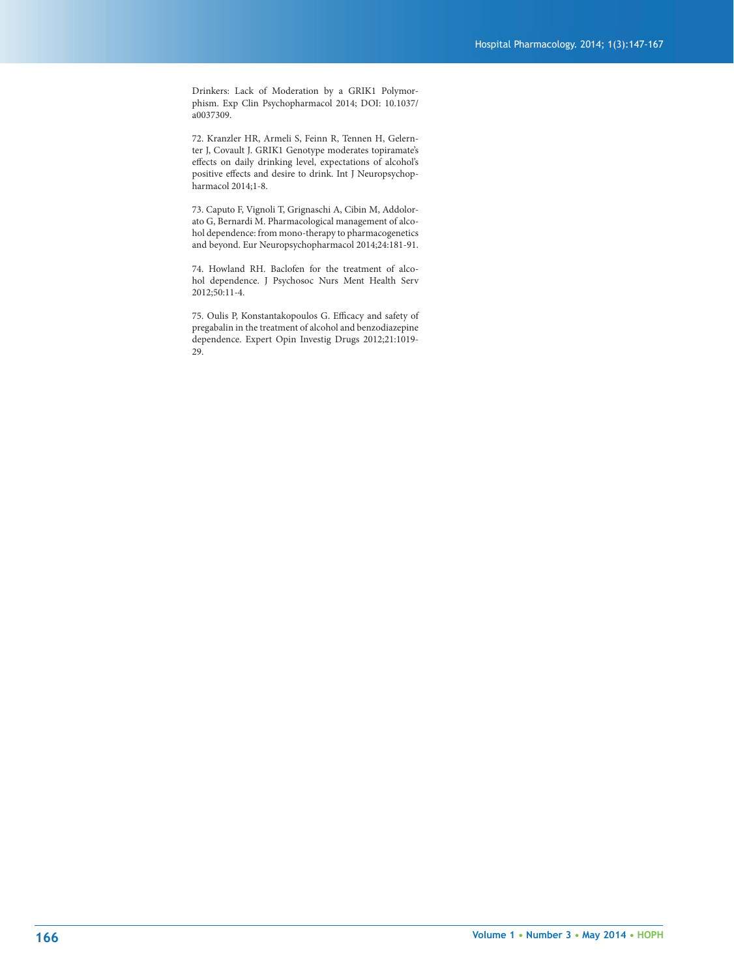Drinkers: Lack of Moderation by a GRIK1 Polymorphism. Exp Clin Psychopharmacol 2014; DOI: 10.1037/ a0037309.

72. Kranzler HR, Armeli S, Feinn R, Tennen H, Gelernter J, Covault J. GRIK1 Genotype moderates topiramate's effects on daily drinking level, expectations of alcohol's positive effects and desire to drink. Int J Neuropsychopharmacol 2014;1-8.

73. Caputo F, Vignoli T, Grignaschi A, Cibin M, Addolorato G, Bernardi M. Pharmacological management of alcohol dependence: from mono-therapy to pharmacogenetics and beyond. Eur Neuropsychopharmacol 2014;24:181-91.

74. Howland RH. Baclofen for the treatment of alcohol dependence. J Psychosoc Nurs Ment Health Serv 2012;50:11-4.

75. Oulis P, Konstantakopoulos G. Efficacy and safety of pregabalin in the treatment of alcohol and benzodiazepine dependence. Expert Opin Investig Drugs 2012;21:1019- 29.